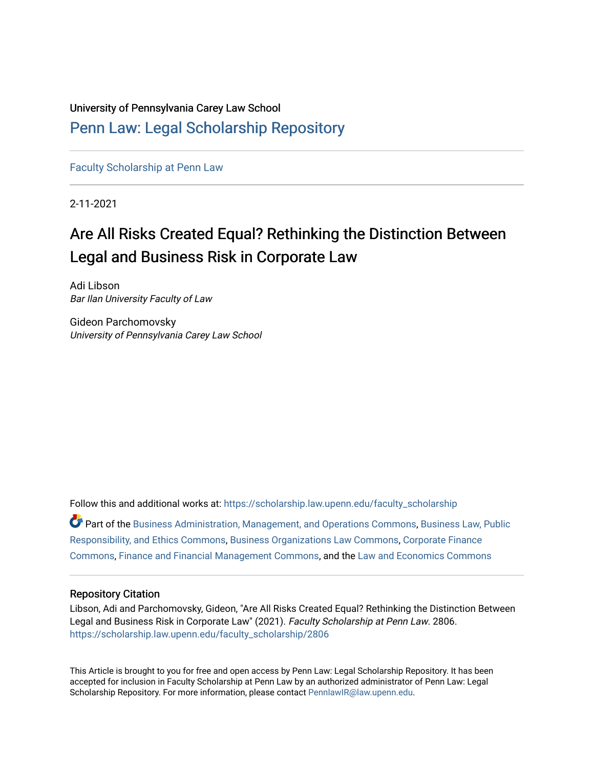## University of Pennsylvania Carey Law School

# [Penn Law: Legal Scholarship Repository](https://scholarship.law.upenn.edu/)

[Faculty Scholarship at Penn Law](https://scholarship.law.upenn.edu/faculty_scholarship)

2-11-2021

# Are All Risks Created Equal? Rethinking the Distinction Between Legal and Business Risk in Corporate Law

Adi Libson Bar Ilan University Faculty of Law

Gideon Parchomovsky University of Pennsylvania Carey Law School

Follow this and additional works at: [https://scholarship.law.upenn.edu/faculty\\_scholarship](https://scholarship.law.upenn.edu/faculty_scholarship?utm_source=scholarship.law.upenn.edu%2Ffaculty_scholarship%2F2806&utm_medium=PDF&utm_campaign=PDFCoverPages)  Part of the [Business Administration, Management, and Operations Commons](http://network.bepress.com/hgg/discipline/623?utm_source=scholarship.law.upenn.edu%2Ffaculty_scholarship%2F2806&utm_medium=PDF&utm_campaign=PDFCoverPages), [Business Law, Public](http://network.bepress.com/hgg/discipline/628?utm_source=scholarship.law.upenn.edu%2Ffaculty_scholarship%2F2806&utm_medium=PDF&utm_campaign=PDFCoverPages) [Responsibility, and Ethics Commons,](http://network.bepress.com/hgg/discipline/628?utm_source=scholarship.law.upenn.edu%2Ffaculty_scholarship%2F2806&utm_medium=PDF&utm_campaign=PDFCoverPages) [Business Organizations Law Commons](http://network.bepress.com/hgg/discipline/900?utm_source=scholarship.law.upenn.edu%2Ffaculty_scholarship%2F2806&utm_medium=PDF&utm_campaign=PDFCoverPages), [Corporate Finance](http://network.bepress.com/hgg/discipline/629?utm_source=scholarship.law.upenn.edu%2Ffaculty_scholarship%2F2806&utm_medium=PDF&utm_campaign=PDFCoverPages) [Commons](http://network.bepress.com/hgg/discipline/629?utm_source=scholarship.law.upenn.edu%2Ffaculty_scholarship%2F2806&utm_medium=PDF&utm_campaign=PDFCoverPages), [Finance and Financial Management Commons,](http://network.bepress.com/hgg/discipline/631?utm_source=scholarship.law.upenn.edu%2Ffaculty_scholarship%2F2806&utm_medium=PDF&utm_campaign=PDFCoverPages) and the [Law and Economics Commons](http://network.bepress.com/hgg/discipline/612?utm_source=scholarship.law.upenn.edu%2Ffaculty_scholarship%2F2806&utm_medium=PDF&utm_campaign=PDFCoverPages) 

#### Repository Citation

Libson, Adi and Parchomovsky, Gideon, "Are All Risks Created Equal? Rethinking the Distinction Between Legal and Business Risk in Corporate Law" (2021). Faculty Scholarship at Penn Law. 2806. [https://scholarship.law.upenn.edu/faculty\\_scholarship/2806](https://scholarship.law.upenn.edu/faculty_scholarship/2806?utm_source=scholarship.law.upenn.edu%2Ffaculty_scholarship%2F2806&utm_medium=PDF&utm_campaign=PDFCoverPages)

This Article is brought to you for free and open access by Penn Law: Legal Scholarship Repository. It has been accepted for inclusion in Faculty Scholarship at Penn Law by an authorized administrator of Penn Law: Legal Scholarship Repository. For more information, please contact [PennlawIR@law.upenn.edu.](mailto:PennlawIR@law.upenn.edu)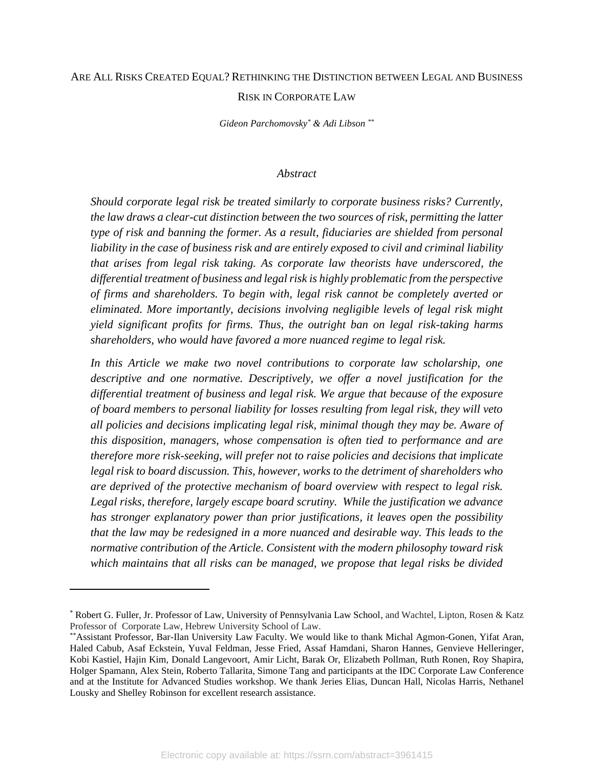# ARE ALL RISKS CREATED EQUAL? RETHINKING THE DISTINCTION BETWEEN LEGAL AND BUSINESS RISK IN CORPORATE LAW

*Gideon Parchomovsky\* & Adi Libson \*\**

#### *Abstract*

*Should corporate legal risk be treated similarly to corporate business risks? Currently, the law draws a clear-cut distinction between the two sources of risk, permitting the latter type of risk and banning the former. As a result, fiduciaries are shielded from personal liability in the case of business risk and are entirely exposed to civil and criminal liability that arises from legal risk taking. As corporate law theorists have underscored, the differential treatment of business and legal risk is highly problematic from the perspective of firms and shareholders. To begin with, legal risk cannot be completely averted or eliminated. More importantly, decisions involving negligible levels of legal risk might yield significant profits for firms. Thus, the outright ban on legal risk-taking harms shareholders, who would have favored a more nuanced regime to legal risk.* 

*In this Article we make two novel contributions to corporate law scholarship, one descriptive and one normative. Descriptively, we offer a novel justification for the differential treatment of business and legal risk. We argue that because of the exposure of board members to personal liability for losses resulting from legal risk, they will veto all policies and decisions implicating legal risk, minimal though they may be. Aware of this disposition, managers, whose compensation is often tied to performance and are therefore more risk-seeking, will prefer not to raise policies and decisions that implicate legal risk to board discussion. This, however, works to the detriment of shareholders who are deprived of the protective mechanism of board overview with respect to legal risk. Legal risks, therefore, largely escape board scrutiny. While the justification we advance has stronger explanatory power than prior justifications, it leaves open the possibility that the law may be redesigned in a more nuanced and desirable way. This leads to the normative contribution of the Article. Consistent with the modern philosophy toward risk which maintains that all risks can be managed, we propose that legal risks be divided* 

<sup>\*</sup> Robert G. Fuller, Jr. Professor of Law, University of Pennsylvania Law School, and Wachtel, Lipton, Rosen & Katz Professor of Corporate Law, Hebrew University School of Law.

<sup>\*\*</sup>Assistant Professor, Bar-Ilan University Law Faculty. We would like to thank Michal Agmon-Gonen, Yifat Aran, Haled Cabub, Asaf Eckstein, Yuval Feldman, Jesse Fried, Assaf Hamdani, Sharon Hannes, Genvieve Helleringer, Kobi Kastiel, Hajin Kim, Donald Langevoort, Amir Licht, Barak Or, Elizabeth Pollman, Ruth Ronen, Roy Shapira, Holger Spamann, Alex Stein, Roberto Tallarita, Simone Tang and participants at the IDC Corporate Law Conference and at the Institute for Advanced Studies workshop. We thank Jeries Elias, Duncan Hall, Nicolas Harris, Nethanel Lousky and Shelley Robinson for excellent research assistance.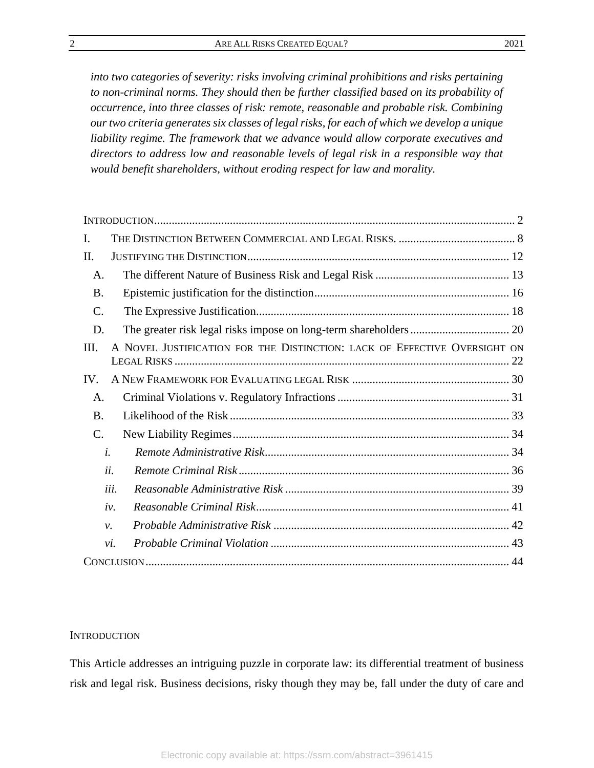*into two categories of severity: risks involving criminal prohibitions and risks pertaining to non-criminal norms. They should then be further classified based on its probability of occurrence, into three classes of risk: remote, reasonable and probable risk. Combining our two criteria generates six classes of legal risks, for each of which we develop a unique liability regime. The framework that we advance would allow corporate executives and directors to address low and reasonable levels of legal risk in a responsible way that would benefit shareholders, without eroding respect for law and morality.* 

| Ι.              |                                                                           |  |
|-----------------|---------------------------------------------------------------------------|--|
| H.              |                                                                           |  |
| A.              |                                                                           |  |
| <b>B.</b>       |                                                                           |  |
| C.              |                                                                           |  |
| D.              |                                                                           |  |
| III.            | A NOVEL JUSTIFICATION FOR THE DISTINCTION: LACK OF EFFECTIVE OVERSIGHT ON |  |
| IV.             |                                                                           |  |
| A.              |                                                                           |  |
| <b>B.</b>       |                                                                           |  |
| $\mathcal{C}$ . |                                                                           |  |
|                 | $\dot{i}$ .                                                               |  |
|                 | ii.                                                                       |  |
|                 | iii.                                                                      |  |
|                 | iv.                                                                       |  |
|                 | $\nu$ .                                                                   |  |
|                 | vi.                                                                       |  |
|                 |                                                                           |  |

#### <span id="page-2-0"></span>**INTRODUCTION**

This Article addresses an intriguing puzzle in corporate law: its differential treatment of business risk and legal risk. Business decisions, risky though they may be, fall under the duty of care and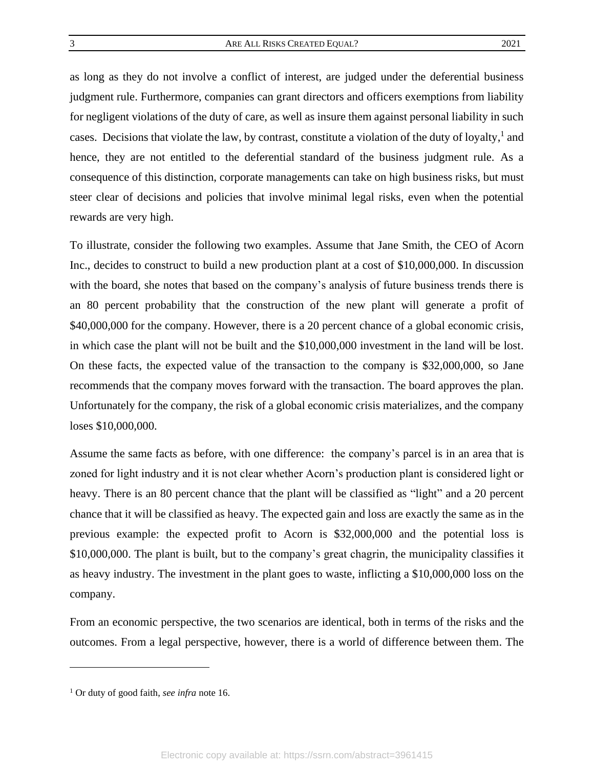as long as they do not involve a conflict of interest, are judged under the deferential business judgment rule. Furthermore, companies can grant directors and officers exemptions from liability for negligent violations of the duty of care, as well as insure them against personal liability in such cases. Decisions that violate the law, by contrast, constitute a violation of the duty of loyalty,<sup>1</sup> and hence, they are not entitled to the deferential standard of the business judgment rule. As a consequence of this distinction, corporate managements can take on high business risks, but must steer clear of decisions and policies that involve minimal legal risks, even when the potential rewards are very high.

To illustrate, consider the following two examples. Assume that Jane Smith, the CEO of Acorn Inc., decides to construct to build a new production plant at a cost of \$10,000,000. In discussion with the board, she notes that based on the company's analysis of future business trends there is an 80 percent probability that the construction of the new plant will generate a profit of \$40,000,000 for the company. However, there is a 20 percent chance of a global economic crisis, in which case the plant will not be built and the \$10,000,000 investment in the land will be lost. On these facts, the expected value of the transaction to the company is \$32,000,000, so Jane recommends that the company moves forward with the transaction. The board approves the plan. Unfortunately for the company, the risk of a global economic crisis materializes, and the company loses \$10,000,000.

Assume the same facts as before, with one difference: the company's parcel is in an area that is zoned for light industry and it is not clear whether Acorn's production plant is considered light or heavy. There is an 80 percent chance that the plant will be classified as "light" and a 20 percent chance that it will be classified as heavy. The expected gain and loss are exactly the same as in the previous example: the expected profit to Acorn is \$32,000,000 and the potential loss is \$10,000,000. The plant is built, but to the company's great chagrin, the municipality classifies it as heavy industry. The investment in the plant goes to waste, inflicting a \$10,000,000 loss on the company.

From an economic perspective, the two scenarios are identical, both in terms of the risks and the outcomes. From a legal perspective, however, there is a world of difference between them. The

<sup>1</sup> Or duty of good faith, *see infra* not[e 16.](#page-9-0)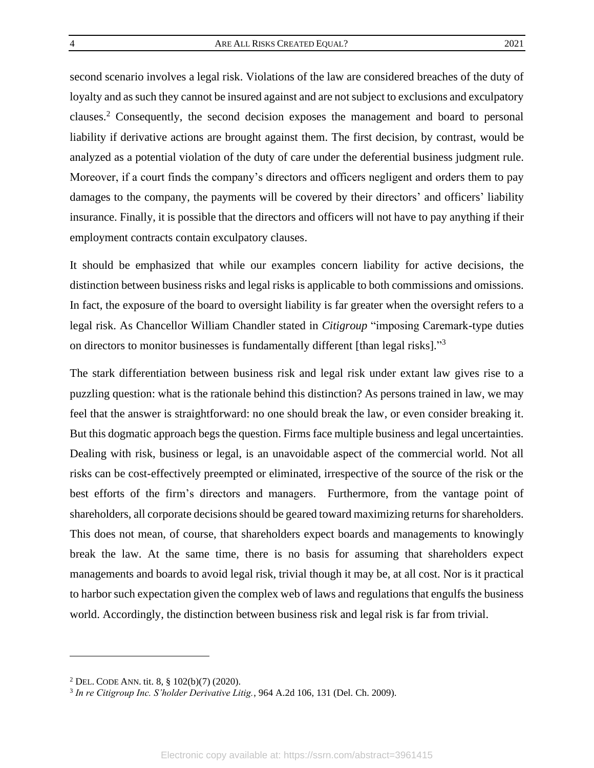second scenario involves a legal risk. Violations of the law are considered breaches of the duty of loyalty and as such they cannot be insured against and are not subject to exclusions and exculpatory clauses. <sup>2</sup> Consequently, the second decision exposes the management and board to personal liability if derivative actions are brought against them. The first decision, by contrast, would be analyzed as a potential violation of the duty of care under the deferential business judgment rule. Moreover, if a court finds the company's directors and officers negligent and orders them to pay damages to the company, the payments will be covered by their directors' and officers' liability insurance. Finally, it is possible that the directors and officers will not have to pay anything if their employment contracts contain exculpatory clauses.

It should be emphasized that while our examples concern liability for active decisions, the distinction between business risks and legal risks is applicable to both commissions and omissions. In fact, the exposure of the board to oversight liability is far greater when the oversight refers to a legal risk. As Chancellor William Chandler stated in *Citigroup* "imposing Caremark-type duties on directors to monitor businesses is fundamentally different [than legal risks]."<sup>3</sup>

The stark differentiation between business risk and legal risk under extant law gives rise to a puzzling question: what is the rationale behind this distinction? As persons trained in law, we may feel that the answer is straightforward: no one should break the law, or even consider breaking it. But this dogmatic approach begs the question. Firms face multiple business and legal uncertainties. Dealing with risk, business or legal, is an unavoidable aspect of the commercial world. Not all risks can be cost-effectively preempted or eliminated, irrespective of the source of the risk or the best efforts of the firm's directors and managers. Furthermore, from the vantage point of shareholders, all corporate decisions should be geared toward maximizing returns forshareholders. This does not mean, of course, that shareholders expect boards and managements to knowingly break the law. At the same time, there is no basis for assuming that shareholders expect managements and boards to avoid legal risk, trivial though it may be, at all cost. Nor is it practical to harbor such expectation given the complex web of laws and regulations that engulfs the business world. Accordingly, the distinction between business risk and legal risk is far from trivial.

<sup>2</sup> DEL. CODE ANN. tit. 8, § 102(b)(7) (2020).

<sup>3</sup> *In re Citigroup Inc. S'holder Derivative Litig.*, 964 A.2d 106, 131 (Del. Ch. 2009).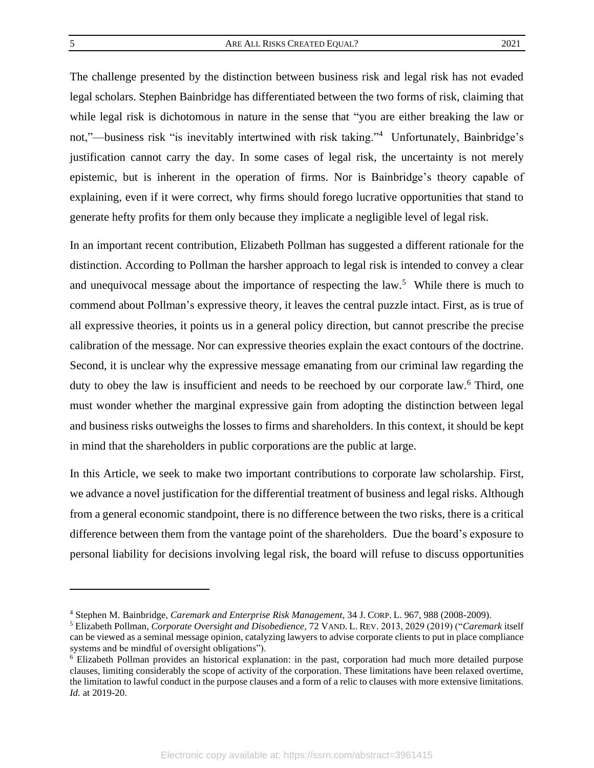<span id="page-5-1"></span>The challenge presented by the distinction between business risk and legal risk has not evaded legal scholars. Stephen Bainbridge has differentiated between the two forms of risk, claiming that while legal risk is dichotomous in nature in the sense that "you are either breaking the law or not,"—business risk "is inevitably intertwined with risk taking."<sup>4</sup> Unfortunately, Bainbridge's justification cannot carry the day. In some cases of legal risk, the uncertainty is not merely epistemic, but is inherent in the operation of firms. Nor is Bainbridge's theory capable of explaining, even if it were correct, why firms should forego lucrative opportunities that stand to generate hefty profits for them only because they implicate a negligible level of legal risk.

<span id="page-5-0"></span>In an important recent contribution, Elizabeth Pollman has suggested a different rationale for the distinction. According to Pollman the harsher approach to legal risk is intended to convey a clear and unequivocal message about the importance of respecting the law.<sup>5</sup> While there is much to commend about Pollman's expressive theory, it leaves the central puzzle intact. First, as is true of all expressive theories, it points us in a general policy direction, but cannot prescribe the precise calibration of the message. Nor can expressive theories explain the exact contours of the doctrine. Second, it is unclear why the expressive message emanating from our criminal law regarding the duty to obey the law is insufficient and needs to be reechoed by our corporate law.<sup>6</sup> Third, one must wonder whether the marginal expressive gain from adopting the distinction between legal and business risks outweighs the losses to firms and shareholders. In this context, it should be kept in mind that the shareholders in public corporations are the public at large.

In this Article, we seek to make two important contributions to corporate law scholarship. First, we advance a novel justification for the differential treatment of business and legal risks. Although from a general economic standpoint, there is no difference between the two risks, there is a critical difference between them from the vantage point of the shareholders. Due the board's exposure to personal liability for decisions involving legal risk, the board will refuse to discuss opportunities

<sup>4</sup> Stephen M. Bainbridge, *Caremark and Enterprise Risk Management*, 34 J. CORP. L. 967, 988 (2008-2009).

<sup>5</sup> Elizabeth Pollman, *Corporate Oversight and Disobedience,* 72 VAND. L. REV. 2013, 2029 (2019) ("*Caremark* itself can be viewed as a seminal message opinion, catalyzing lawyers to advise corporate clients to put in place compliance systems and be mindful of oversight obligations").

<sup>6</sup> Elizabeth Pollman provides an historical explanation: in the past, corporation had much more detailed purpose clauses, limiting considerably the scope of activity of the corporation. These limitations have been relaxed overtime, the limitation to lawful conduct in the purpose clauses and a form of a relic to clauses with more extensive limitations. *Id.* at 2019-20.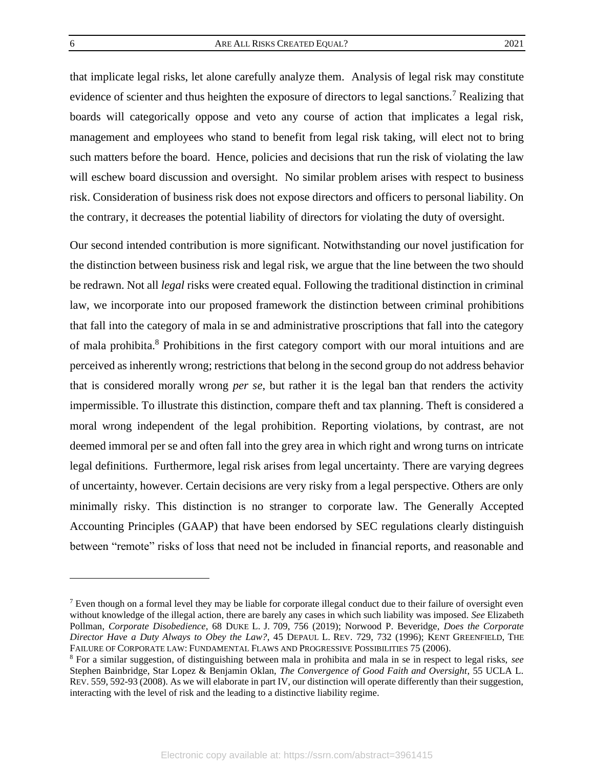<span id="page-6-1"></span>that implicate legal risks, let alone carefully analyze them. Analysis of legal risk may constitute evidence of scienter and thus heighten the exposure of directors to legal sanctions.<sup>7</sup> Realizing that boards will categorically oppose and veto any course of action that implicates a legal risk, management and employees who stand to benefit from legal risk taking, will elect not to bring such matters before the board. Hence, policies and decisions that run the risk of violating the law will eschew board discussion and oversight. No similar problem arises with respect to business risk. Consideration of business risk does not expose directors and officers to personal liability. On the contrary, it decreases the potential liability of directors for violating the duty of oversight.

<span id="page-6-0"></span>Our second intended contribution is more significant. Notwithstanding our novel justification for the distinction between business risk and legal risk, we argue that the line between the two should be redrawn. Not all *legal* risks were created equal. Following the traditional distinction in criminal law, we incorporate into our proposed framework the distinction between criminal prohibitions that fall into the category of mala in se and administrative proscriptions that fall into the category of mala prohibita.<sup>8</sup> Prohibitions in the first category comport with our moral intuitions and are perceived as inherently wrong; restrictions that belong in the second group do not address behavior that is considered morally wrong *per se*, but rather it is the legal ban that renders the activity impermissible. To illustrate this distinction, compare theft and tax planning. Theft is considered a moral wrong independent of the legal prohibition. Reporting violations, by contrast, are not deemed immoral per se and often fall into the grey area in which right and wrong turns on intricate legal definitions. Furthermore, legal risk arises from legal uncertainty. There are varying degrees of uncertainty, however. Certain decisions are very risky from a legal perspective. Others are only minimally risky. This distinction is no stranger to corporate law. The Generally Accepted Accounting Principles (GAAP) that have been endorsed by SEC regulations clearly distinguish between "remote" risks of loss that need not be included in financial reports, and reasonable and

 $<sup>7</sup>$  Even though on a formal level they may be liable for corporate illegal conduct due to their failure of oversight even</sup> without knowledge of the illegal action, there are barely any cases in which such liability was imposed. *See* Elizabeth Pollman, *Corporate Disobedience*, 68 DUKE L. J. 709, 756 (2019); Norwood P. Beveridge, *Does the Corporate Director Have a Duty Always to Obey the Law?*, 45 DEPAUL L. REV. 729, 732 (1996); KENT GREENFIELD, THE FAILURE OF CORPORATE LAW: FUNDAMENTAL FLAWS AND PROGRESSIVE POSSIBILITIES 75 (2006).

<sup>8</sup> For a similar suggestion, of distinguishing between mala in prohibita and mala in se in respect to legal risks, *see* Stephen Bainbridge, Star Lopez & Benjamin Oklan, *The Convergence of Good Faith and Oversight*, 55 UCLA L. REV. 559, 592-93 (2008). As we will elaborate in part IV, our distinction will operate differently than their suggestion, interacting with the level of risk and the leading to a distinctive liability regime.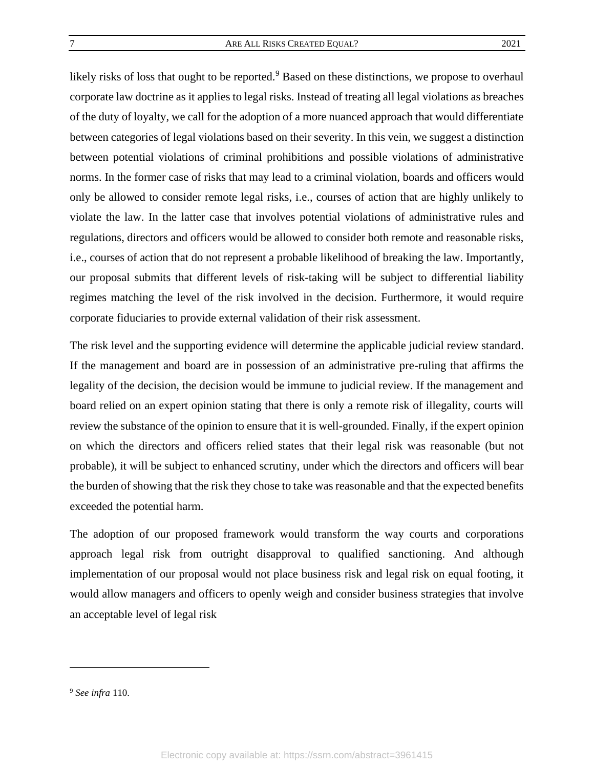likely risks of loss that ought to be reported.<sup>9</sup> Based on these distinctions, we propose to overhaul corporate law doctrine as it applies to legal risks. Instead of treating all legal violations as breaches of the duty of loyalty, we call for the adoption of a more nuanced approach that would differentiate between categories of legal violations based on their severity. In this vein, we suggest a distinction between potential violations of criminal prohibitions and possible violations of administrative norms. In the former case of risks that may lead to a criminal violation, boards and officers would only be allowed to consider remote legal risks, i.e., courses of action that are highly unlikely to violate the law. In the latter case that involves potential violations of administrative rules and regulations, directors and officers would be allowed to consider both remote and reasonable risks, i.e., courses of action that do not represent a probable likelihood of breaking the law. Importantly, our proposal submits that different levels of risk-taking will be subject to differential liability regimes matching the level of the risk involved in the decision. Furthermore, it would require corporate fiduciaries to provide external validation of their risk assessment.

The risk level and the supporting evidence will determine the applicable judicial review standard. If the management and board are in possession of an administrative pre-ruling that affirms the legality of the decision, the decision would be immune to judicial review. If the management and board relied on an expert opinion stating that there is only a remote risk of illegality, courts will review the substance of the opinion to ensure that it is well-grounded. Finally, if the expert opinion on which the directors and officers relied states that their legal risk was reasonable (but not probable), it will be subject to enhanced scrutiny, under which the directors and officers will bear the burden of showing that the risk they chose to take was reasonable and that the expected benefits exceeded the potential harm.

The adoption of our proposed framework would transform the way courts and corporations approach legal risk from outright disapproval to qualified sanctioning. And although implementation of our proposal would not place business risk and legal risk on equal footing, it would allow managers and officers to openly weigh and consider business strategies that involve an acceptable level of legal risk

<sup>9</sup> *See infra* [110.](#page-33-1)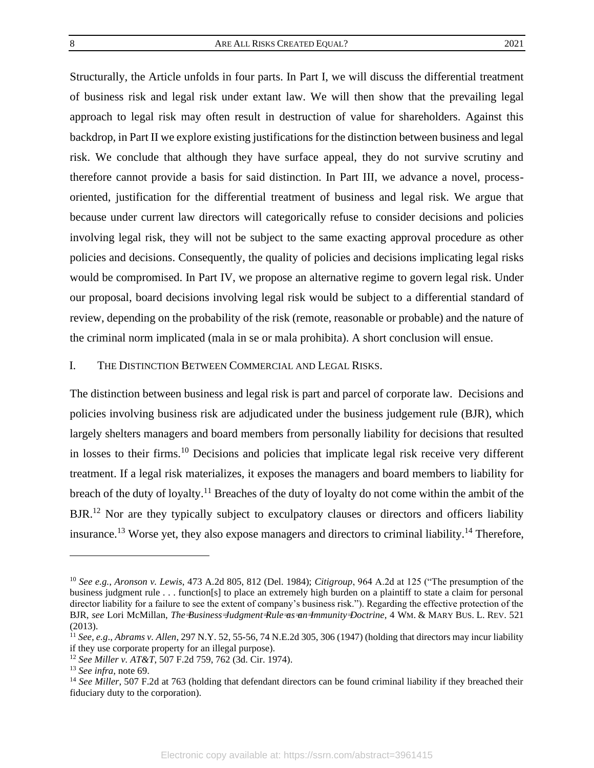Structurally, the Article unfolds in four parts. In Part I, we will discuss the differential treatment of business risk and legal risk under extant law. We will then show that the prevailing legal approach to legal risk may often result in destruction of value for shareholders. Against this backdrop, in Part II we explore existing justifications for the distinction between business and legal risk. We conclude that although they have surface appeal, they do not survive scrutiny and therefore cannot provide a basis for said distinction. In Part III, we advance a novel, processoriented, justification for the differential treatment of business and legal risk. We argue that because under current law directors will categorically refuse to consider decisions and policies involving legal risk, they will not be subject to the same exacting approval procedure as other policies and decisions. Consequently, the quality of policies and decisions implicating legal risks would be compromised. In Part IV, we propose an alternative regime to govern legal risk. Under our proposal, board decisions involving legal risk would be subject to a differential standard of review, depending on the probability of the risk (remote, reasonable or probable) and the nature of the criminal norm implicated (mala in se or mala prohibita). A short conclusion will ensue.

#### <span id="page-8-0"></span>I. THE DISTINCTION BETWEEN COMMERCIAL AND LEGAL RISKS.

The distinction between business and legal risk is part and parcel of corporate law. Decisions and policies involving business risk are adjudicated under the business judgement rule (BJR), which largely shelters managers and board members from personally liability for decisions that resulted in losses to their firms.<sup>10</sup> Decisions and policies that implicate legal risk receive very different treatment. If a legal risk materializes, it exposes the managers and board members to liability for breach of the duty of loyalty.<sup>11</sup> Breaches of the duty of loyalty do not come within the ambit of the BJR.<sup>12</sup> Nor are they typically subject to exculpatory clauses or directors and officers liability insurance.<sup>13</sup> Worse yet, they also expose managers and directors to criminal liability.<sup>14</sup> Therefore,

<span id="page-8-1"></span><sup>10</sup> *See e.g.*, *Aronson v. Lewis*, 473 A.2d 805, 812 (Del. 1984); *Citigroup*, 964 A.2d at 125 ("The presumption of the business judgment rule . . . function[s] to place an extremely high burden on a plaintiff to state a claim for personal director liability for a failure to see the extent of company's business risk."). Regarding the effective protection of the BJR, *see* Lori McMillan, *The Business Judgment Rule as an Immunity Doctrine*, 4 WM. & MARY BUS. L. REV. 521 (2013).

<sup>11</sup> *See, e.g*., *Abrams v. Allen*, 297 N.Y. 52, 55-56, 74 N.E.2d 305, 306 (1947) (holding that directors may incur liability if they use corporate property for an illegal purpose).

<sup>12</sup> *See Miller v. AT&T*, 507 F.2d 759, 762 (3d. Cir. 1974).

<sup>13</sup> *See infra,* not[e 69.](#page-23-0)

<sup>&</sup>lt;sup>14</sup> See Miller, 507 F.2d at 763 (holding that defendant directors can be found criminal liability if they breached their fiduciary duty to the corporation).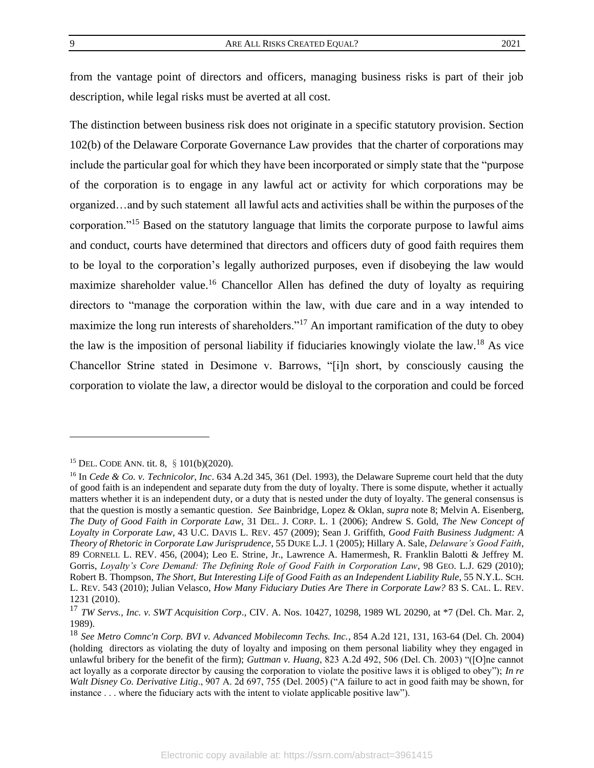from the vantage point of directors and officers, managing business risks is part of their job description, while legal risks must be averted at all cost.

<span id="page-9-0"></span>The distinction between business risk does not originate in a specific statutory provision. Section 102(b) of the Delaware Corporate Governance Law provides that the charter of corporations may include the particular goal for which they have been incorporated or simply state that the "purpose of the corporation is to engage in any lawful act or activity for which corporations may be organized…and by such statement all lawful acts and activities shall be within the purposes of the corporation."<sup>15</sup> Based on the statutory language that limits the corporate purpose to lawful aims and conduct, courts have determined that directors and officers duty of good faith requires them to be loyal to the corporation's legally authorized purposes, even if disobeying the law would maximize shareholder value.<sup>16</sup> Chancellor Allen has defined the duty of loyalty as requiring directors to "manage the corporation within the law, with due care and in a way intended to maximize the long run interests of shareholders."<sup>17</sup> An important ramification of the duty to obey the law is the imposition of personal liability if fiduciaries knowingly violate the law.<sup>18</sup> As vice Chancellor Strine stated in Desimone v. Barrows, "[i]n short, by consciously causing the corporation to violate the law, a director would be disloyal to the corporation and could be forced

<span id="page-9-1"></span><sup>15</sup> DEL. CODE ANN. tit. 8, §101(b)(2020).

<sup>16</sup> In *Cede & Co. v. Technicolor, Inc*. 634 A.2d 345, 361 (Del. 1993), the Delaware Supreme court held that the duty of good faith is an independent and separate duty from the duty of loyalty. There is some dispute, whether it actually matters whether it is an independent duty, or a duty that is nested under the duty of loyalty. The general consensus is that the question is mostly a semantic question. *See* Bainbridge, Lopez & Oklan, *supra* not[e 8;](#page-6-0) Melvin A. Eisenberg, *The Duty of Good Faith in Corporate Law*, 31 DEL. J. CORP. L. 1 (2006); Andrew S. Gold, *The New Concept of Loyalty in Corporate Law*, 43 U.C. DAVIS L. REV. 457 (2009); Sean J. Griffith, *Good Faith Business Judgment: A Theory of Rhetoric in Corporate Law Jurisprudence*, 55 DUKE L.J. 1 (2005); Hillary A. Sale, *Delaware's Good Faith*, 89 CORNELL L. REV. 456, (2004); Leo E. Strine, Jr., Lawrence A. Hamermesh, R. Franklin Balotti & Jeffrey M. Gorris, *Loyalty's Core Demand: The Defining Role of Good Faith in Corporation Law*, 98 GEO. L.J. 629 (2010); Robert B. Thompson, *The Short, But Interesting Life of Good Faith as an Independent Liability Rule*, 55 N.Y.L. SCH. L. REV. 543 (2010); Julian Velasco, *How Many Fiduciary Duties Are There in Corporate Law?* 83 S. CAL. L. REV. 1231 (2010).

<sup>17</sup> *TW Servs., Inc. v. SWT Acquisition Corp*., CIV. A. Nos. 10427, 10298, 1989 WL 20290, at \*7 (Del. Ch. Mar. 2, 1989).

<sup>18</sup> *See Metro Comnc'n Corp. BVI v. Advanced Mobilecomn Techs. Inc.*, 854 A.2d 121, 131, 163-64 (Del. Ch. 2004) (holding directors as violating the duty of loyalty and imposing on them personal liability whey they engaged in unlawful bribery for the benefit of the firm); *Guttman v. Huang*, 823 A.2d 492, 506 (Del. Ch. 2003) "([O]ne cannot act loyally as a corporate director by causing the corporation to violate the positive laws it is obliged to obey"); *In re Walt Disney Co. Derivative Litig*., 907 A. 2d 697, 755 (Del. 2005) ("A failure to act in good faith may be shown, for instance . . . where the fiduciary acts with the intent to violate applicable positive law").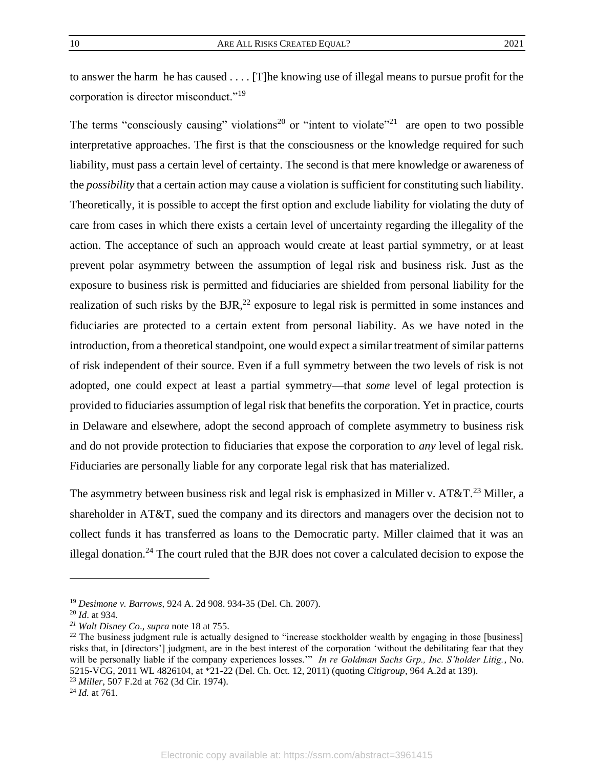to answer the harm he has caused . . . . [T]he knowing use of illegal means to pursue profit for the corporation is director misconduct."<sup>19</sup>

The terms "consciously causing" violations<sup>20</sup> or "intent to violate"<sup>21</sup> are open to two possible interpretative approaches. The first is that the consciousness or the knowledge required for such liability, must pass a certain level of certainty. The second is that mere knowledge or awareness of the *possibility* that a certain action may cause a violation is sufficient for constituting such liability. Theoretically, it is possible to accept the first option and exclude liability for violating the duty of care from cases in which there exists a certain level of uncertainty regarding the illegality of the action. The acceptance of such an approach would create at least partial symmetry, or at least prevent polar asymmetry between the assumption of legal risk and business risk. Just as the exposure to business risk is permitted and fiduciaries are shielded from personal liability for the realization of such risks by the  $BJR<sup>22</sup>$  exposure to legal risk is permitted in some instances and fiduciaries are protected to a certain extent from personal liability. As we have noted in the introduction, from a theoretical standpoint, one would expect a similar treatment of similar patterns of risk independent of their source. Even if a full symmetry between the two levels of risk is not adopted, one could expect at least a partial symmetry—that *some* level of legal protection is provided to fiduciaries assumption of legal risk that benefits the corporation. Yet in practice, courts in Delaware and elsewhere, adopt the second approach of complete asymmetry to business risk and do not provide protection to fiduciaries that expose the corporation to *any* level of legal risk. Fiduciaries are personally liable for any corporate legal risk that has materialized.

The asymmetry between business risk and legal risk is emphasized in Miller v.  $AT&T.^{23}$  Miller. a shareholder in AT&T, sued the company and its directors and managers over the decision not to collect funds it has transferred as loans to the Democratic party. Miller claimed that it was an illegal donation.<sup>24</sup> The court ruled that the BJR does not cover a calculated decision to expose the

<sup>19</sup> *Desimone v. Barrows,* 924 A. 2d 908. 934-35 (Del. Ch. 2007).

<sup>20</sup> *Id*. at 934.

*<sup>21</sup> Walt Disney Co*., *supra* note [18](#page-9-1) at 755.

<sup>&</sup>lt;sup>22</sup> The business judgment rule is actually designed to "increase stockholder wealth by engaging in those [business] risks that, in [directors'] judgment, are in the best interest of the corporation 'without the debilitating fear that they will be personally liable if the company experiences losses.'" *In re Goldman Sachs Grp., Inc. S'holder Litig.*, No. 5215-VCG, 2011 WL 4826104, at \*21-22 (Del. Ch. Oct. 12, 2011) (quoting *Citigroup*, 964 A.2d at 139). <sup>23</sup> *Miller*, 507 F.2d at 762 (3d Cir. 1974).

<sup>24</sup> *Id.* at 761.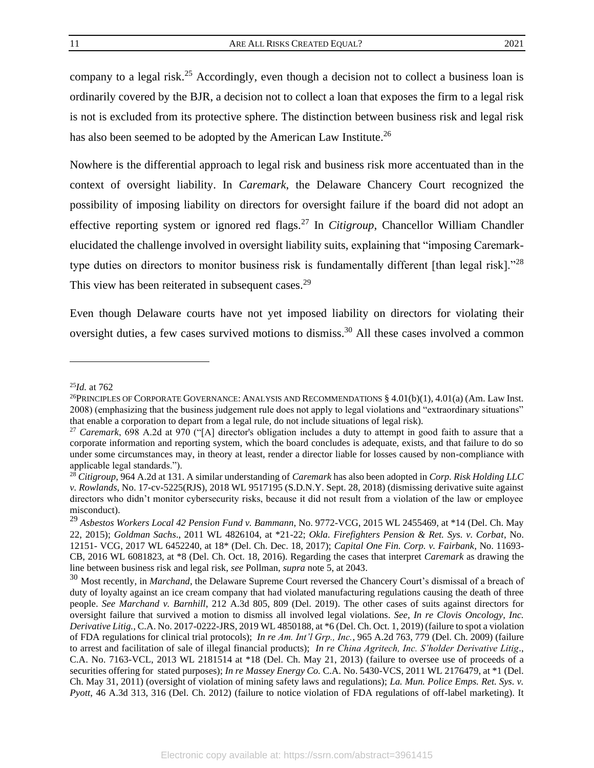company to a legal risk.<sup>25</sup> Accordingly, even though a decision not to collect a business loan is ordinarily covered by the BJR, a decision not to collect a loan that exposes the firm to a legal risk is not is excluded from its protective sphere. The distinction between business risk and legal risk has also been seemed to be adopted by the American Law Institute.<sup>26</sup>

Nowhere is the differential approach to legal risk and business risk more accentuated than in the context of oversight liability. In *Caremark*, the Delaware Chancery Court recognized the possibility of imposing liability on directors for oversight failure if the board did not adopt an effective reporting system or ignored red flags.<sup>27</sup> In *Citigroup*, Chancellor William Chandler elucidated the challenge involved in oversight liability suits, explaining that "imposing Caremarktype duties on directors to monitor business risk is fundamentally different [than legal risk]."<sup>28</sup> This view has been reiterated in subsequent cases.<sup>29</sup>

<span id="page-11-1"></span><span id="page-11-0"></span>Even though Delaware courts have not yet imposed liability on directors for violating their oversight duties, a few cases survived motions to dismiss.<sup>30</sup> All these cases involved a common

<sup>25</sup>*Id.* at 762

<sup>&</sup>lt;sup>26</sup>PRINCIPLES OF CORPORATE GOVERNANCE: ANALYSIS AND RECOMMENDATIONS  $§$  4.01(b)(1), 4.01(a) (Am. Law Inst. 2008) (emphasizing that the business judgement rule does not apply to legal violations and "extraordinary situations" that enable a corporation to depart from a legal rule, do not include situations of legal risk).

<sup>27</sup> *Caremark*, 698 A.2d at 970 ("[A] director's obligation includes a duty to attempt in good faith to assure that a corporate information and reporting system, which the board concludes is adequate, exists, and that failure to do so under some circumstances may, in theory at least, render a director liable for losses caused by non-compliance with applicable legal standards.").

<sup>28</sup> *Citigroup,* 964 A.2d at 131. A similar understanding of *Caremark* has also been adopted in *Corp. Risk Holding LLC v. Rowlands*, No. 17-cv-5225(RJS), 2018 WL 9517195 (S.D.N.Y. Sept. 28, 2018) (dismissing derivative suite against directors who didn't monitor cybersecurity risks, because it did not result from a violation of the law or employee misconduct).

<sup>29</sup> *Asbestos Workers Local 42 Pension Fund v. Bammann*, No. 9772-VCG, 2015 WL 2455469, at \*14 (Del. Ch. May 22, 2015); *Goldman Sachs*., 2011 WL 4826104, at \*21-22; *Okla. Firefighters Pension & Ret. Sys. v. Corbat*, No. 12151- VCG, 2017 WL 6452240, at 18\* (Del. Ch. Dec. 18, 2017); *Capital One Fin. Corp. v. Fairbank*, No. 11693- CB, 2016 WL 6081823, at \*8 (Del. Ch. Oct. 18, 2016). Regarding the cases that interpret *Caremark* as drawing the line between business risk and legal risk, *see* Pollman, *supra* not[e 5,](#page-5-0) at 2043.

<sup>30</sup> Most recently, in *Marchand*, the Delaware Supreme Court reversed the Chancery Court's dismissal of a breach of duty of loyalty against an ice cream company that had violated manufacturing regulations causing the death of three people. *See Marchand v. Barnhill*, 212 A.3d 805, 809 (Del. 2019). The other cases of suits against directors for oversight failure that survived a motion to dismiss all involved legal violations. *See, In re Clovis Oncology, Inc. Derivative Litig.,* C.A. No. 2017-0222-JRS, 2019 WL 4850188, at \*6 (Del. Ch. Oct. 1, 2019) (failure to spot a violation of FDA regulations for clinical trial protocols); *In re Am. Int'l Grp., Inc.*, 965 A.2d 763, 779 (Del. Ch. 2009) (failure to arrest and facilitation of sale of illegal financial products); *In re China Agritech, Inc. S'holder Derivative Litig*., C.A. No. 7163-VCL, 2013 WL 2181514 at \*18 (Del. Ch. May 21, 2013) (failure to oversee use of proceeds of a securities offering for stated purposes); *In re Massey Energy Co.* C.A. No. 5430-VCS, 2011 WL 2176479, at \*1 (Del. Ch. May 31, 2011) (oversight of violation of mining safety laws and regulations); *La. Mun. Police Emps. Ret. Sys. v. Pyott*, 46 A.3d 313, 316 (Del. Ch. 2012) (failure to notice violation of FDA regulations of off-label marketing). It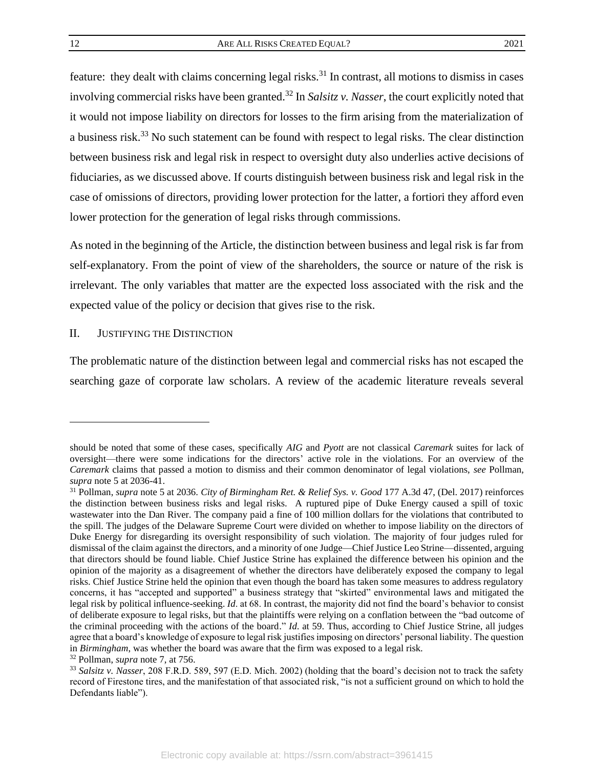<span id="page-12-1"></span>feature: they dealt with claims concerning legal risks.<sup>31</sup> In contrast, all motions to dismiss in cases involving commercial risks have been granted.<sup>32</sup> In *Salsitz v. Nasser*, the court explicitly noted that it would not impose liability on directors for losses to the firm arising from the materialization of a business risk.<sup>33</sup> No such statement can be found with respect to legal risks. The clear distinction between business risk and legal risk in respect to oversight duty also underlies active decisions of fiduciaries, as we discussed above. If courts distinguish between business risk and legal risk in the case of omissions of directors, providing lower protection for the latter, a fortiori they afford even lower protection for the generation of legal risks through commissions.

As noted in the beginning of the Article, the distinction between business and legal risk is far from self-explanatory. From the point of view of the shareholders, the source or nature of the risk is irrelevant. The only variables that matter are the expected loss associated with the risk and the expected value of the policy or decision that gives rise to the risk.

#### <span id="page-12-0"></span>II. JUSTIFYING THE DISTINCTION

The problematic nature of the distinction between legal and commercial risks has not escaped the searching gaze of corporate law scholars. A review of the academic literature reveals several

<sup>32</sup> Pollman, *supra* note [7,](#page-6-1) at 756.

should be noted that some of these cases, specifically *AIG* and *Pyott* are not classical *Caremark* suites for lack of oversight—there were some indications for the directors' active role in the violations. For an overview of the *Caremark* claims that passed a motion to dismiss and their common denominator of legal violations, *see* Pollman, *supra* note [5](#page-5-0) at 2036-41.

<sup>31</sup> Pollman, *supra* not[e 5](#page-5-0) at 2036. *City of Birmingham Ret. & Relief Sys. v. Good* 177 A.3d 47, (Del. 2017) reinforces the distinction between business risks and legal risks. A ruptured pipe of Duke Energy caused a spill of toxic wastewater into the Dan River. The company paid a fine of 100 million dollars for the violations that contributed to the spill. The judges of the Delaware Supreme Court were divided on whether to impose liability on the directors of Duke Energy for disregarding its oversight responsibility of such violation. The majority of four judges ruled for dismissal of the claim against the directors, and a minority of one Judge—Chief Justice Leo Strine—dissented, arguing that directors should be found liable. Chief Justice Strine has explained the difference between his opinion and the opinion of the majority as a disagreement of whether the directors have deliberately exposed the company to legal risks. Chief Justice Strine held the opinion that even though the board has taken some measures to address regulatory concerns, it has "accepted and supported" a business strategy that "skirted" environmental laws and mitigated the legal risk by political influence-seeking. *Id*. at 68. In contrast, the majority did not find the board's behavior to consist of deliberate exposure to legal risks, but that the plaintiffs were relying on a conflation between the "bad outcome of the criminal proceeding with the actions of the board." *Id*. at 59. Thus, according to Chief Justice Strine, all judges agree that a board's knowledge of exposure to legal risk justifies imposing on directors' personal liability. The question in *Birmingham*, was whether the board was aware that the firm was exposed to a legal risk.

<sup>33</sup> *Salsitz v. Nasser*, 208 F.R.D. 589, 597 (E.D. Mich. 2002) (holding that the board's decision not to track the safety record of Firestone tires, and the manifestation of that associated risk, "is not a sufficient ground on which to hold the Defendants liable").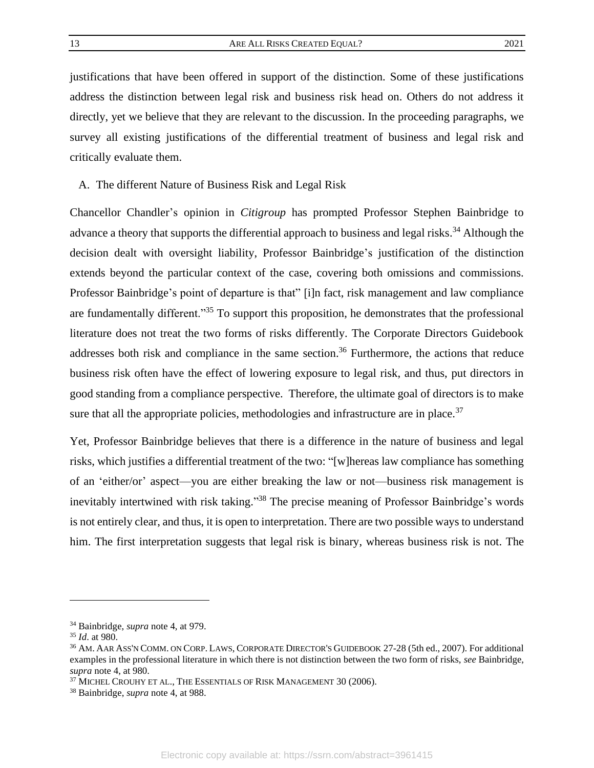justifications that have been offered in support of the distinction. Some of these justifications address the distinction between legal risk and business risk head on. Others do not address it directly, yet we believe that they are relevant to the discussion. In the proceeding paragraphs, we survey all existing justifications of the differential treatment of business and legal risk and critically evaluate them.

<span id="page-13-0"></span>A. The different Nature of Business Risk and Legal Risk

Chancellor Chandler's opinion in *Citigroup* has prompted Professor Stephen Bainbridge to advance a theory that supports the differential approach to business and legal risks.<sup>34</sup> Although the decision dealt with oversight liability, Professor Bainbridge's justification of the distinction extends beyond the particular context of the case, covering both omissions and commissions. Professor Bainbridge's point of departure is that" [i]n fact, risk management and law compliance are fundamentally different."<sup>35</sup> To support this proposition, he demonstrates that the professional literature does not treat the two forms of risks differently. The Corporate Directors Guidebook addresses both risk and compliance in the same section.<sup>36</sup> Furthermore, the actions that reduce business risk often have the effect of lowering exposure to legal risk, and thus, put directors in good standing from a compliance perspective. Therefore, the ultimate goal of directors is to make sure that all the appropriate policies, methodologies and infrastructure are in place. $37$ 

Yet, Professor Bainbridge believes that there is a difference in the nature of business and legal risks, which justifies a differential treatment of the two: "[w]hereas law compliance has something of an 'either/or' aspect—you are either breaking the law or not—business risk management is inevitably intertwined with risk taking."<sup>38</sup> The precise meaning of Professor Bainbridge's words is not entirely clear, and thus, it is open to interpretation. There are two possible ways to understand him. The first interpretation suggests that legal risk is binary, whereas business risk is not. The

<sup>34</sup> Bainbridge, *supra* not[e 4,](#page-5-1) at 979.

<sup>35</sup> *Id*. at 980.

<sup>36</sup> AM. AAR ASS'N COMM. ON CORP. LAWS, CORPORATE DIRECTOR'S GUIDEBOOK 27-28 (5th ed., 2007). For additional examples in the professional literature in which there is not distinction between the two form of risks, *see* Bainbridge, *supra* note [4,](#page-5-1) at 980.

 $^{37}$  MICHEL CROUHY ET AL., THE ESSENTIALS OF RISK MANAGEMENT  $30$  (2006).

<sup>38</sup> Bainbridge, *supra* note [4,](#page-5-1) at 988.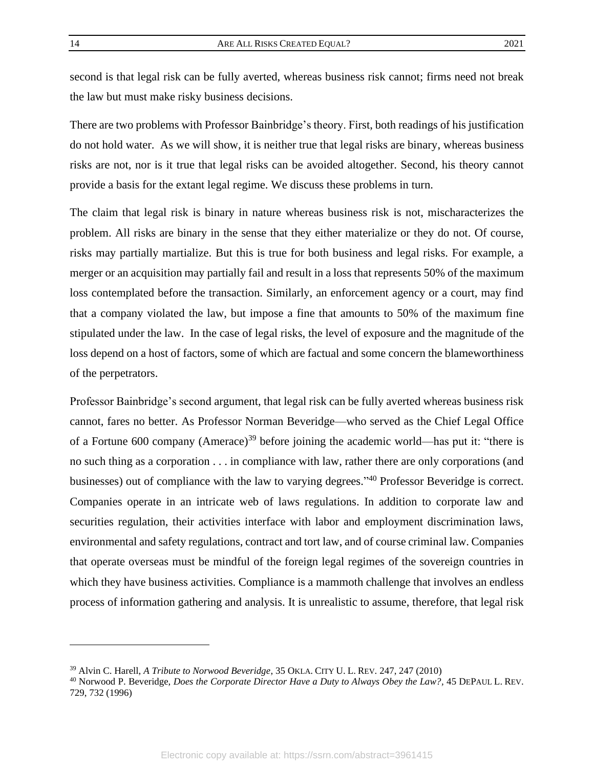second is that legal risk can be fully averted, whereas business risk cannot; firms need not break the law but must make risky business decisions.

There are two problems with Professor Bainbridge's theory. First, both readings of his justification do not hold water. As we will show, it is neither true that legal risks are binary, whereas business risks are not, nor is it true that legal risks can be avoided altogether. Second, his theory cannot provide a basis for the extant legal regime. We discuss these problems in turn.

The claim that legal risk is binary in nature whereas business risk is not, mischaracterizes the problem. All risks are binary in the sense that they either materialize or they do not. Of course, risks may partially martialize. But this is true for both business and legal risks. For example, a merger or an acquisition may partially fail and result in a loss that represents 50% of the maximum loss contemplated before the transaction. Similarly, an enforcement agency or a court, may find that a company violated the law, but impose a fine that amounts to 50% of the maximum fine stipulated under the law. In the case of legal risks, the level of exposure and the magnitude of the loss depend on a host of factors, some of which are factual and some concern the blameworthiness of the perpetrators.

<span id="page-14-0"></span>Professor Bainbridge's second argument, that legal risk can be fully averted whereas business risk cannot, fares no better. As Professor Norman Beveridge—who served as the Chief Legal Office of a Fortune 600 company (Amerace)<sup>39</sup> before joining the academic world—has put it: "there is no such thing as a corporation . . . in compliance with law, rather there are only corporations (and businesses) out of compliance with the law to varying degrees."<sup>40</sup> Professor Beveridge is correct. Companies operate in an intricate web of laws regulations. In addition to corporate law and securities regulation, their activities interface with labor and employment discrimination laws, environmental and safety regulations, contract and tort law, and of course criminal law. Companies that operate overseas must be mindful of the foreign legal regimes of the sovereign countries in which they have business activities. Compliance is a mammoth challenge that involves an endless process of information gathering and analysis. It is unrealistic to assume, therefore, that legal risk

<sup>39</sup> Alvin C. Harell, *A Tribute to Norwood Beveridge*, 35 OKLA. CITY U. L. REV. 247, 247 (2010)

<sup>40</sup> Norwood P. Beveridge, *Does the Corporate Director Have a Duty to Always Obey the Law?,* 45 DEPAUL L. REV. 729, 732 (1996)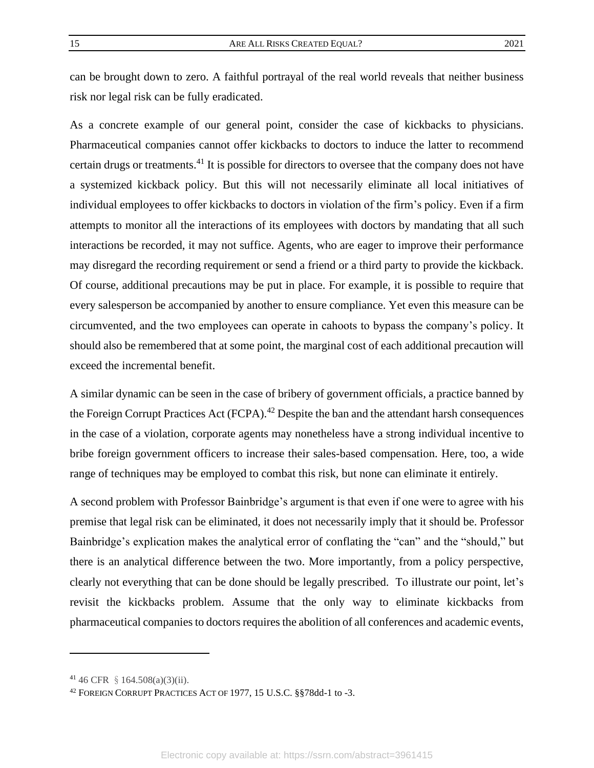can be brought down to zero. A faithful portrayal of the real world reveals that neither business risk nor legal risk can be fully eradicated.

As a concrete example of our general point, consider the case of kickbacks to physicians. Pharmaceutical companies cannot offer kickbacks to doctors to induce the latter to recommend certain drugs or treatments.<sup>41</sup> It is possible for directors to oversee that the company does not have a systemized kickback policy. But this will not necessarily eliminate all local initiatives of individual employees to offer kickbacks to doctors in violation of the firm's policy. Even if a firm attempts to monitor all the interactions of its employees with doctors by mandating that all such interactions be recorded, it may not suffice. Agents, who are eager to improve their performance may disregard the recording requirement or send a friend or a third party to provide the kickback. Of course, additional precautions may be put in place. For example, it is possible to require that every salesperson be accompanied by another to ensure compliance. Yet even this measure can be circumvented, and the two employees can operate in cahoots to bypass the company's policy. It should also be remembered that at some point, the marginal cost of each additional precaution will exceed the incremental benefit.

A similar dynamic can be seen in the case of bribery of government officials, a practice banned by the Foreign Corrupt Practices Act (FCPA).<sup>42</sup> Despite the ban and the attendant harsh consequences in the case of a violation, corporate agents may nonetheless have a strong individual incentive to bribe foreign government officers to increase their sales-based compensation. Here, too, a wide range of techniques may be employed to combat this risk, but none can eliminate it entirely.

A second problem with Professor Bainbridge's argument is that even if one were to agree with his premise that legal risk can be eliminated, it does not necessarily imply that it should be. Professor Bainbridge's explication makes the analytical error of conflating the "can" and the "should," but there is an analytical difference between the two. More importantly, from a policy perspective, clearly not everything that can be done should be legally prescribed. To illustrate our point, let's revisit the kickbacks problem. Assume that the only way to eliminate kickbacks from pharmaceutical companies to doctors requires the abolition of all conferences and academic events,

 $41\,46$  CFR § 164.508(a)(3)(ii).

<sup>42</sup> FOREIGN CORRUPT PRACTICES ACT OF 1977, 15 U.S.C. §§78dd-1 to -3.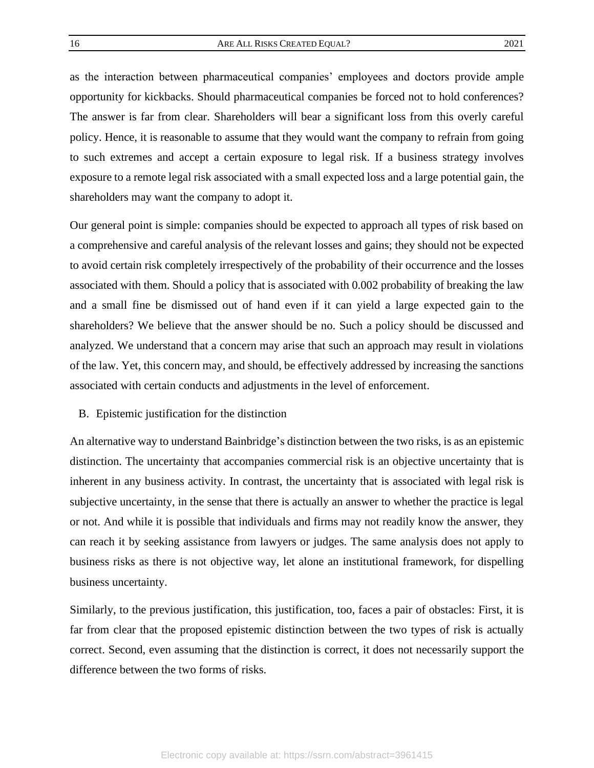as the interaction between pharmaceutical companies' employees and doctors provide ample opportunity for kickbacks. Should pharmaceutical companies be forced not to hold conferences? The answer is far from clear. Shareholders will bear a significant loss from this overly careful policy. Hence, it is reasonable to assume that they would want the company to refrain from going to such extremes and accept a certain exposure to legal risk. If a business strategy involves exposure to a remote legal risk associated with a small expected loss and a large potential gain, the shareholders may want the company to adopt it.

Our general point is simple: companies should be expected to approach all types of risk based on a comprehensive and careful analysis of the relevant losses and gains; they should not be expected to avoid certain risk completely irrespectively of the probability of their occurrence and the losses associated with them. Should a policy that is associated with 0.002 probability of breaking the law and a small fine be dismissed out of hand even if it can yield a large expected gain to the shareholders? We believe that the answer should be no. Such a policy should be discussed and analyzed. We understand that a concern may arise that such an approach may result in violations of the law. Yet, this concern may, and should, be effectively addressed by increasing the sanctions associated with certain conducts and adjustments in the level of enforcement.

#### <span id="page-16-0"></span>B. Epistemic justification for the distinction

An alternative way to understand Bainbridge's distinction between the two risks, is as an epistemic distinction. The uncertainty that accompanies commercial risk is an objective uncertainty that is inherent in any business activity. In contrast, the uncertainty that is associated with legal risk is subjective uncertainty, in the sense that there is actually an answer to whether the practice is legal or not. And while it is possible that individuals and firms may not readily know the answer, they can reach it by seeking assistance from lawyers or judges. The same analysis does not apply to business risks as there is not objective way, let alone an institutional framework, for dispelling business uncertainty.

Similarly, to the previous justification, this justification, too, faces a pair of obstacles: First, it is far from clear that the proposed epistemic distinction between the two types of risk is actually correct. Second, even assuming that the distinction is correct, it does not necessarily support the difference between the two forms of risks.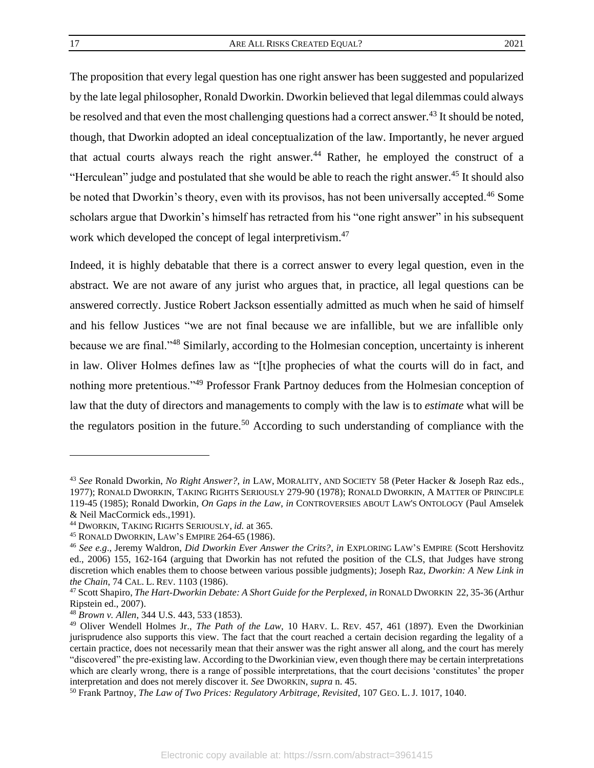<span id="page-17-0"></span>

The proposition that every legal question has one right answer has been suggested and popularized by the late legal philosopher, Ronald Dworkin. Dworkin believed that legal dilemmas could always be resolved and that even the most challenging questions had a correct answer.<sup>43</sup> It should be noted, though, that Dworkin adopted an ideal conceptualization of the law. Importantly, he never argued that actual courts always reach the right answer.<sup>44</sup> Rather, he employed the construct of a "Herculean" judge and postulated that she would be able to reach the right answer.<sup>45</sup> It should also be noted that Dworkin's theory, even with its provisos, has not been universally accepted.<sup>46</sup> Some scholars argue that Dworkin's himself has retracted from his "one right answer" in his subsequent work which developed the concept of legal interpretivism.<sup>47</sup>

Indeed, it is highly debatable that there is a correct answer to every legal question, even in the abstract. We are not aware of any jurist who argues that, in practice, all legal questions can be answered correctly. Justice Robert Jackson essentially admitted as much when he said of himself and his fellow Justices "we are not final because we are infallible, but we are infallible only because we are final."<sup>48</sup> Similarly, according to the Holmesian conception, uncertainty is inherent in law. Oliver Holmes defines law as "[t]he prophecies of what the courts will do in fact, and nothing more pretentious."<sup>49</sup> Professor Frank Partnoy deduces from the Holmesian conception of law that the duty of directors and managements to comply with the law is to *estimate* what will be the regulators position in the future.<sup>50</sup> According to such understanding of compliance with the

<sup>43</sup> *See* Ronald Dworkin, *No Right Answer?, in* LAW, MORALITY, AND SOCIETY 58 (Peter Hacker & Joseph Raz eds., 1977); RONALD DWORKIN, TAKING RIGHTS SERIOUSLY 279-90 (1978); RONALD DWORKIN, A MATTER OF PRINCIPLE 119-45 (1985); Ronald Dworkin, *On Gaps in the Law*, *in* CONTROVERSIES ABOUT LAW'S ONTOLOGY (Paul Amselek & Neil MacCormick eds.,1991).

<sup>44</sup> DWORKIN, TAKING RIGHTS SERIOUSLY, *id.* at 365.

<sup>45</sup> RONALD DWORKIN, LAW'S EMPIRE 264-65 (1986).

<sup>46</sup> *See e.g*., Jeremy Waldron, *Did Dworkin Ever Answer the Crits?*, *in* EXPLORING LAW'S EMPIRE (Scott Hershovitz ed., 2006) 155, 162-164 (arguing that Dworkin has not refuted the position of the CLS, that Judges have strong discretion which enables them to choose between various possible judgments); Joseph Raz, *Dworkin: A New Link in the Chain*, 74 CAL. L. REV. 1103 (1986).

<sup>47</sup> Scott Shapiro, *The Hart-Dworkin Debate: A Short Guide for the Perplexed*, *in* RONALD DWORKIN 22, 35-36 (Arthur Ripstein ed., 2007).

<sup>48</sup> *Brown v. Allen*, 344 U.S. 443, 533 (1853).

<sup>49</sup> Oliver Wendell Holmes Jr., *The Path of the Law,* 10 HARV. L. REV. 457, 461 (1897). Even the Dworkinian jurisprudence also supports this view. The fact that the court reached a certain decision regarding the legality of a certain practice, does not necessarily mean that their answer was the right answer all along, and the court has merely "discovered" the pre-existing law. According to the Dworkinian view, even though there may be certain interpretations which are clearly wrong, there is a range of possible interpretations, that the court decisions 'constitutes' the proper interpretation and does not merely discover it. *See* DWORKIN, *supra* n[. 45.](#page-17-0)

<sup>50</sup> Frank Partnoy, *The Law of Two Prices: Regulatory Arbitrage, Revisited*, 107 GEO. L. J. 1017, 1040.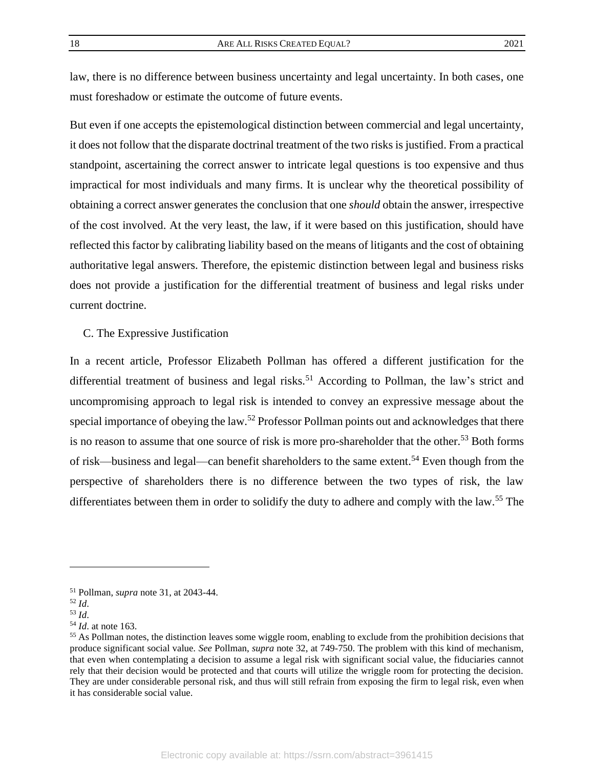law, there is no difference between business uncertainty and legal uncertainty. In both cases, one must foreshadow or estimate the outcome of future events.

But even if one accepts the epistemological distinction between commercial and legal uncertainty, it does not follow that the disparate doctrinal treatment of the two risks is justified. From a practical standpoint, ascertaining the correct answer to intricate legal questions is too expensive and thus impractical for most individuals and many firms. It is unclear why the theoretical possibility of obtaining a correct answer generates the conclusion that one *should* obtain the answer, irrespective of the cost involved. At the very least, the law, if it were based on this justification, should have reflected this factor by calibrating liability based on the means of litigants and the cost of obtaining authoritative legal answers. Therefore, the epistemic distinction between legal and business risks does not provide a justification for the differential treatment of business and legal risks under current doctrine.

<span id="page-18-0"></span>C. The Expressive Justification

In a recent article, Professor Elizabeth Pollman has offered a different justification for the differential treatment of business and legal risks.<sup>51</sup> According to Pollman, the law's strict and uncompromising approach to legal risk is intended to convey an expressive message about the special importance of obeying the law.<sup>52</sup> Professor Pollman points out and acknowledges that there is no reason to assume that one source of risk is more pro-shareholder that the other.<sup>53</sup> Both forms of risk—business and legal—can benefit shareholders to the same extent.<sup>54</sup> Even though from the perspective of shareholders there is no difference between the two types of risk, the law differentiates between them in order to solidify the duty to adhere and comply with the law.<sup>55</sup> The

<sup>51</sup> Pollman, *supra* note 31, at 2043-44.

<sup>52</sup> *Id*.

<sup>53</sup> *Id*.

<sup>54</sup> *Id*. at note 163.

<sup>&</sup>lt;sup>55</sup> As Pollman notes, the distinction leaves some wiggle room, enabling to exclude from the prohibition decisions that produce significant social value. *See* Pollman, *supra* note [32,](#page-12-1) at 749-750. The problem with this kind of mechanism, that even when contemplating a decision to assume a legal risk with significant social value, the fiduciaries cannot rely that their decision would be protected and that courts will utilize the wriggle room for protecting the decision. They are under considerable personal risk, and thus will still refrain from exposing the firm to legal risk, even when it has considerable social value.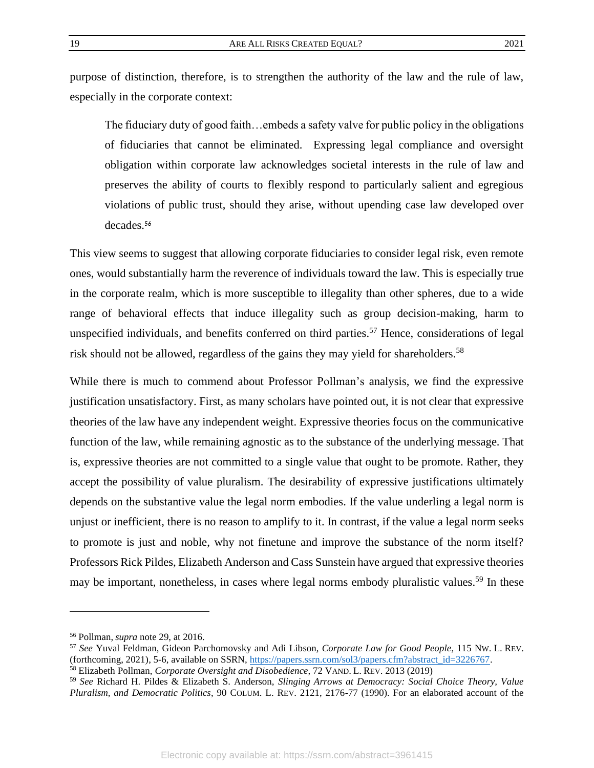purpose of distinction, therefore, is to strengthen the authority of the law and the rule of law, especially in the corporate context:

The fiduciary duty of good faith…embeds a safety valve for public policy in the obligations of fiduciaries that cannot be eliminated. Expressing legal compliance and oversight obligation within corporate law acknowledges societal interests in the rule of law and preserves the ability of courts to flexibly respond to particularly salient and egregious violations of public trust, should they arise, without upending case law developed over decades.<sup>56</sup>

This view seems to suggest that allowing corporate fiduciaries to consider legal risk, even remote ones, would substantially harm the reverence of individuals toward the law. This is especially true in the corporate realm, which is more susceptible to illegality than other spheres, due to a wide range of behavioral effects that induce illegality such as group decision-making, harm to unspecified individuals, and benefits conferred on third parties.<sup>57</sup> Hence, considerations of legal risk should not be allowed, regardless of the gains they may yield for shareholders.<sup>58</sup>

<span id="page-19-0"></span>While there is much to commend about Professor Pollman's analysis, we find the expressive justification unsatisfactory. First, as many scholars have pointed out, it is not clear that expressive theories of the law have any independent weight. Expressive theories focus on the communicative function of the law, while remaining agnostic as to the substance of the underlying message. That is, expressive theories are not committed to a single value that ought to be promote. Rather, they accept the possibility of value pluralism. The desirability of expressive justifications ultimately depends on the substantive value the legal norm embodies. If the value underling a legal norm is unjust or inefficient, there is no reason to amplify to it. In contrast, if the value a legal norm seeks to promote is just and noble, why not finetune and improve the substance of the norm itself? Professors Rick Pildes, Elizabeth Anderson and Cass Sunstein have argued that expressive theories may be important, nonetheless, in cases where legal norms embody pluralistic values.<sup>59</sup> In these

<sup>56</sup> Pollman, *supra* note [29,](#page-11-0) at 2016.

<sup>57</sup> *See* Yuval Feldman, Gideon Parchomovsky and Adi Libson, *Corporate Law for Good People*, 115 NW. L. REV. (forthcoming, 2021), 5-6, available on SSRN, [https://papers.ssrn.com/sol3/papers.cfm?abstract\\_id=3226767.](https://papers.ssrn.com/sol3/papers.cfm?abstract_id=3226767)

<sup>58</sup> Elizabeth Pollman, *Corporate Oversight and Disobedience,* 72 VAND. L. REV. 2013 (2019)

<sup>59</sup> *See* Richard H. Pildes & Elizabeth S. Anderson, *Slinging Arrows at Democracy: Social Choice Theory, Value Pluralism, and Democratic Politics*, 90 COLUM. L. REV. 2121, 2176-77 (1990). For an elaborated account of the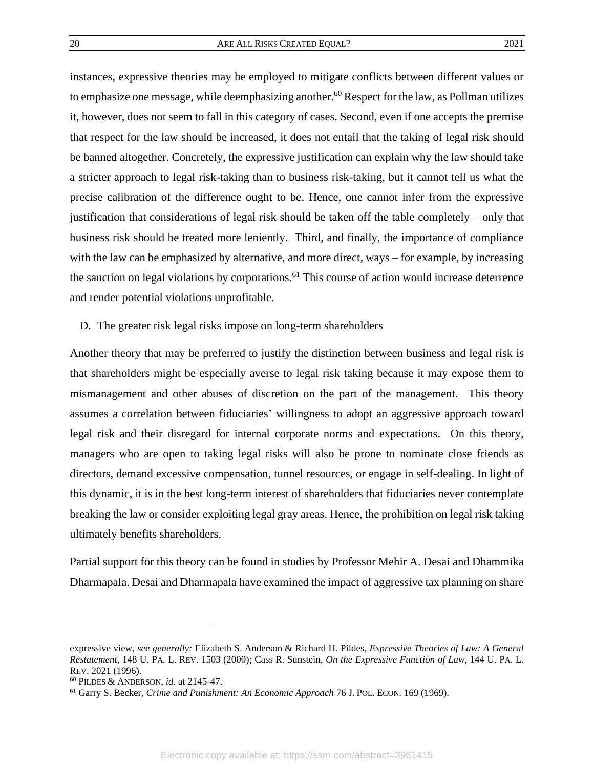instances, expressive theories may be employed to mitigate conflicts between different values or to emphasize one message, while deemphasizing another.<sup>60</sup> Respect for the law, as Pollman utilizes it, however, does not seem to fall in this category of cases. Second, even if one accepts the premise that respect for the law should be increased, it does not entail that the taking of legal risk should be banned altogether. Concretely, the expressive justification can explain why the law should take a stricter approach to legal risk-taking than to business risk-taking, but it cannot tell us what the precise calibration of the difference ought to be. Hence, one cannot infer from the expressive justification that considerations of legal risk should be taken off the table completely – only that business risk should be treated more leniently. Third, and finally, the importance of compliance with the law can be emphasized by alternative, and more direct, ways – for example, by increasing the sanction on legal violations by corporations.<sup>61</sup> This course of action would increase deterrence and render potential violations unprofitable.

<span id="page-20-0"></span>D. The greater risk legal risks impose on long-term shareholders

Another theory that may be preferred to justify the distinction between business and legal risk is that shareholders might be especially averse to legal risk taking because it may expose them to mismanagement and other abuses of discretion on the part of the management. This theory assumes a correlation between fiduciaries' willingness to adopt an aggressive approach toward legal risk and their disregard for internal corporate norms and expectations. On this theory, managers who are open to taking legal risks will also be prone to nominate close friends as directors, demand excessive compensation, tunnel resources, or engage in self-dealing. In light of this dynamic, it is in the best long-term interest of shareholders that fiduciaries never contemplate breaking the law or consider exploiting legal gray areas. Hence, the prohibition on legal risk taking ultimately benefits shareholders.

Partial support for this theory can be found in studies by Professor Mehir A. Desai and Dhammika Dharmapala. Desai and Dharmapala have examined the impact of aggressive tax planning on share

expressive view, *see generally:* Elizabeth S. Anderson & Richard H. Pildes, *Expressive Theories of Law: A General Restatement*, 148 U. PA. L. REV. 1503 (2000); Cass R. Sunstein, *On the Expressive Function of Law*, 144 U. PA. L. REV. 2021 (1996).

<sup>60</sup> PILDES & ANDERSON, *id*. at 2145-47.

<sup>61</sup> Garry S. Becker, *Crime and Punishment: An Economic Approach* 76 J. POL. ECON. 169 (1969).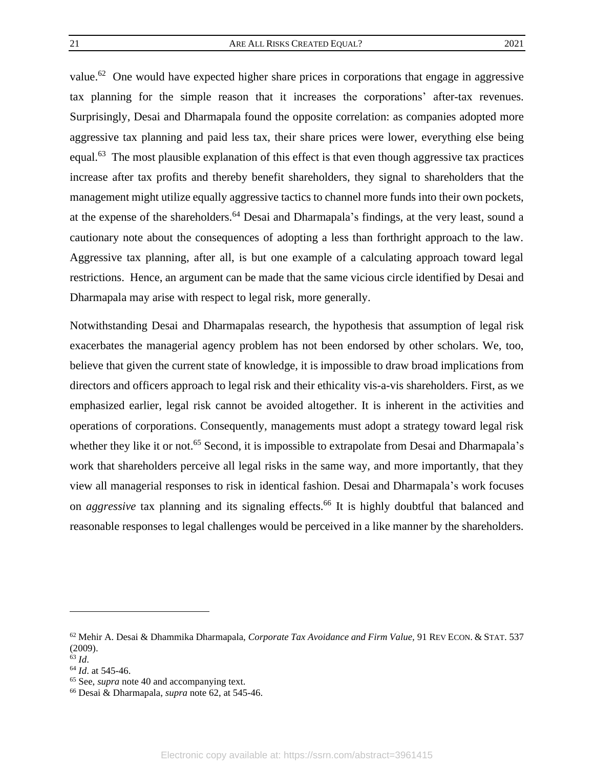value.<sup>62</sup> One would have expected higher share prices in corporations that engage in aggressive tax planning for the simple reason that it increases the corporations' after-tax revenues. Surprisingly, Desai and Dharmapala found the opposite correlation: as companies adopted more aggressive tax planning and paid less tax, their share prices were lower, everything else being equal.<sup>63</sup> The most plausible explanation of this effect is that even though aggressive tax practices increase after tax profits and thereby benefit shareholders, they signal to shareholders that the management might utilize equally aggressive tactics to channel more funds into their own pockets, at the expense of the shareholders.<sup>64</sup> Desai and Dharmapala's findings, at the very least, sound a cautionary note about the consequences of adopting a less than forthright approach to the law. Aggressive tax planning, after all, is but one example of a calculating approach toward legal restrictions. Hence, an argument can be made that the same vicious circle identified by Desai and Dharmapala may arise with respect to legal risk, more generally.

Notwithstanding Desai and Dharmapalas research, the hypothesis that assumption of legal risk exacerbates the managerial agency problem has not been endorsed by other scholars. We, too, believe that given the current state of knowledge, it is impossible to draw broad implications from directors and officers approach to legal risk and their ethicality vis-a-vis shareholders. First, as we emphasized earlier, legal risk cannot be avoided altogether. It is inherent in the activities and operations of corporations. Consequently, managements must adopt a strategy toward legal risk whether they like it or not.<sup>65</sup> Second, it is impossible to extrapolate from Desai and Dharmapala's work that shareholders perceive all legal risks in the same way, and more importantly, that they view all managerial responses to risk in identical fashion. Desai and Dharmapala's work focuses on *aggressive* tax planning and its signaling effects.<sup>66</sup> It is highly doubtful that balanced and reasonable responses to legal challenges would be perceived in a like manner by the shareholders.

<sup>62</sup> Mehir A. Desai & Dhammika Dharmapala, *Corporate Tax Avoidance and Firm Value,* 91 REV ECON. & STAT. 537 (2009).

<sup>63</sup> *Id*.

<sup>64</sup> *Id*. at 545-46.

<sup>65</sup> See, *supra* not[e 40](#page-14-0) and accompanying text.

<sup>66</sup> Desai & Dharmapala, *supra* note 62, at 545-46.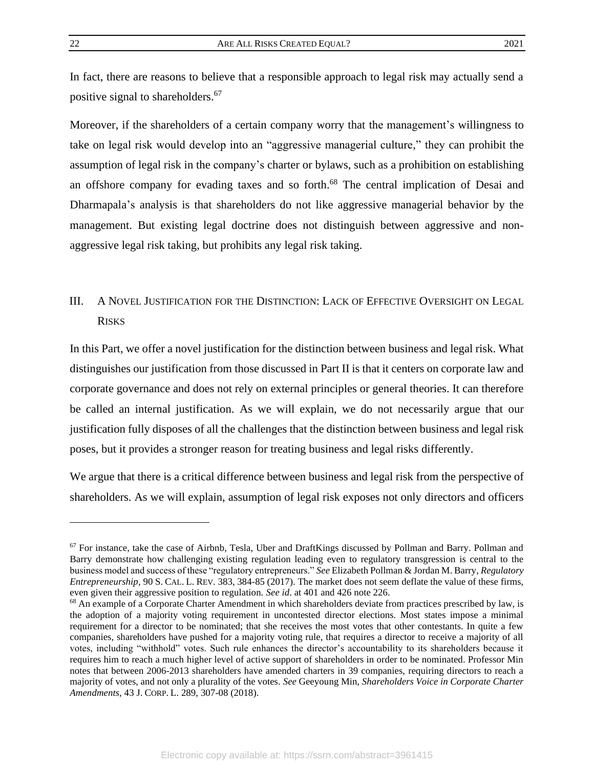<span id="page-22-1"></span>In fact, there are reasons to believe that a responsible approach to legal risk may actually send a positive signal to shareholders. 67

Moreover, if the shareholders of a certain company worry that the management's willingness to take on legal risk would develop into an "aggressive managerial culture," they can prohibit the assumption of legal risk in the company's charter or bylaws, such as a prohibition on establishing an offshore company for evading taxes and so forth.<sup>68</sup> The central implication of Desai and Dharmapala's analysis is that shareholders do not like aggressive managerial behavior by the management. But existing legal doctrine does not distinguish between aggressive and nonaggressive legal risk taking, but prohibits any legal risk taking.

# <span id="page-22-0"></span>III. A NOVEL JUSTIFICATION FOR THE DISTINCTION: LACK OF EFFECTIVE OVERSIGHT ON LEGAL **RISKS**

In this Part, we offer a novel justification for the distinction between business and legal risk. What distinguishes our justification from those discussed in Part II is that it centers on corporate law and corporate governance and does not rely on external principles or general theories. It can therefore be called an internal justification. As we will explain, we do not necessarily argue that our justification fully disposes of all the challenges that the distinction between business and legal risk poses, but it provides a stronger reason for treating business and legal risks differently.

We argue that there is a critical difference between business and legal risk from the perspective of shareholders. As we will explain, assumption of legal risk exposes not only directors and officers

 $67$  For instance, take the case of Airbnb, Tesla, Uber and DraftKings discussed by Pollman and Barry. Pollman and Barry demonstrate how challenging existing regulation leading even to regulatory transgression is central to the business model and success of these "regulatory entrepreneurs." *See* Elizabeth Pollman & Jordan M. Barry, *Regulatory Entrepreneurship*, 90 S. CAL. L. REV. 383, 384-85 (2017). The market does not seem deflate the value of these firms, even given their aggressive position to regulation. *See id*. at 401 and 426 note 226.

<sup>&</sup>lt;sup>68</sup> An example of a Corporate Charter Amendment in which shareholders deviate from practices prescribed by law, is the adoption of a majority voting requirement in uncontested director elections. Most states impose a minimal requirement for a director to be nominated; that she receives the most votes that other contestants. In quite a few companies, shareholders have pushed for a majority voting rule, that requires a director to receive a majority of all votes, including "withhold" votes. Such rule enhances the director's accountability to its shareholders because it requires him to reach a much higher level of active support of shareholders in order to be nominated. Professor Min notes that between 2006-2013 shareholders have amended charters in 39 companies, requiring directors to reach a majority of votes, and not only a plurality of the votes. *See* Geeyoung Min, *Shareholders Voice in Corporate Charter Amendments*, 43 J. CORP. L. 289, 307-08 (2018).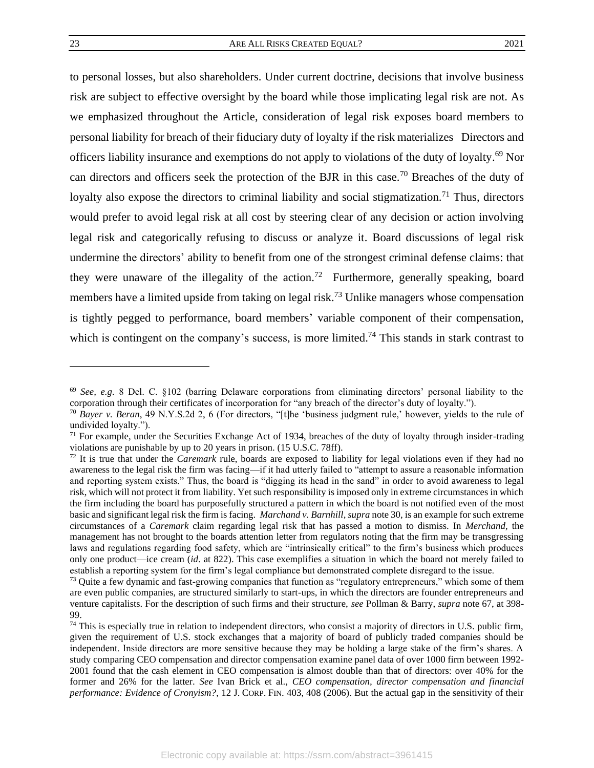<span id="page-23-0"></span>

to personal losses, but also shareholders. Under current doctrine, decisions that involve business risk are subject to effective oversight by the board while those implicating legal risk are not. As we emphasized throughout the Article, consideration of legal risk exposes board members to personal liability for breach of their fiduciary duty of loyalty if the risk materializes Directors and officers liability insurance and exemptions do not apply to violations of the duty of loyalty. <sup>69</sup> Nor can directors and officers seek the protection of the BJR in this case.<sup>70</sup> Breaches of the duty of loyalty also expose the directors to criminal liability and social stigmatization.<sup>71</sup> Thus, directors would prefer to avoid legal risk at all cost by steering clear of any decision or action involving legal risk and categorically refusing to discuss or analyze it. Board discussions of legal risk undermine the directors' ability to benefit from one of the strongest criminal defense claims: that they were unaware of the illegality of the action.<sup>72</sup> Furthermore, generally speaking, board members have a limited upside from taking on legal risk.<sup>73</sup> Unlike managers whose compensation is tightly pegged to performance, board members' variable component of their compensation, which is contingent on the company's success, is more limited.<sup>74</sup> This stands in stark contrast to

<sup>69</sup> *See, e.g.* 8 Del. C. §102 (barring Delaware corporations from eliminating directors' personal liability to the corporation through their certificates of incorporation for "any breach of the director's duty of loyalty.").

<sup>70</sup> *Bayer v. Beran*, 49 N.Y.S.2d 2, 6 (For directors, "[t]he 'business judgment rule,' however, yields to the rule of undivided loyalty.").

 $71$  For example, under the Securities Exchange Act of 1934, breaches of the duty of loyalty through insider-trading violations are punishable by up to 20 years in prison. (15 U.S.C. 78ff).

<sup>72</sup> It is true that under the *Caremark* rule, boards are exposed to liability for legal violations even if they had no awareness to the legal risk the firm was facing—if it had utterly failed to "attempt to assure a reasonable information and reporting system exists." Thus, the board is "digging its head in the sand" in order to avoid awareness to legal risk, which will not protect it from liability. Yet such responsibility is imposed only in extreme circumstances in which the firm including the board has purposefully structured a pattern in which the board is not notified even of the most basic and significant legal risk the firm is facing. *Marchand v. Barnhill*, *supra* note [30,](#page-11-1) is an example for such extreme circumstances of a *Caremark* claim regarding legal risk that has passed a motion to dismiss. In *Merchand,* the management has not brought to the boards attention letter from regulators noting that the firm may be transgressing laws and regulations regarding food safety, which are "intrinsically critical" to the firm's business which produces only one product—ice cream (*id*. at 822). This case exemplifies a situation in which the board not merely failed to establish a reporting system for the firm's legal compliance but demonstrated complete disregard to the issue.

<sup>&</sup>lt;sup>73</sup> Quite a few dynamic and fast-growing companies that function as "regulatory entrepreneurs," which some of them are even public companies, are structured similarly to start-ups, in which the directors are founder entrepreneurs and venture capitalists. For the description of such firms and their structure, *see* Pollman & Barry, *supra* not[e 67,](#page-22-1) at 398- 99.

 $74$  This is especially true in relation to independent directors, who consist a majority of directors in U.S. public firm, given the requirement of U.S. stock exchanges that a majority of board of publicly traded companies should be independent. Inside directors are more sensitive because they may be holding a large stake of the firm's shares. A study comparing CEO compensation and director compensation examine panel data of over 1000 firm between 1992- 2001 found that the cash element in CEO compensation is almost double than that of directors: over 40% for the former and 26% for the latter. *See* Ivan Brick et al., *CEO compensation, director compensation and financial performance: Evidence of Cronyism?*, 12 J. CORP. FIN. 403, 408 (2006). But the actual gap in the sensitivity of their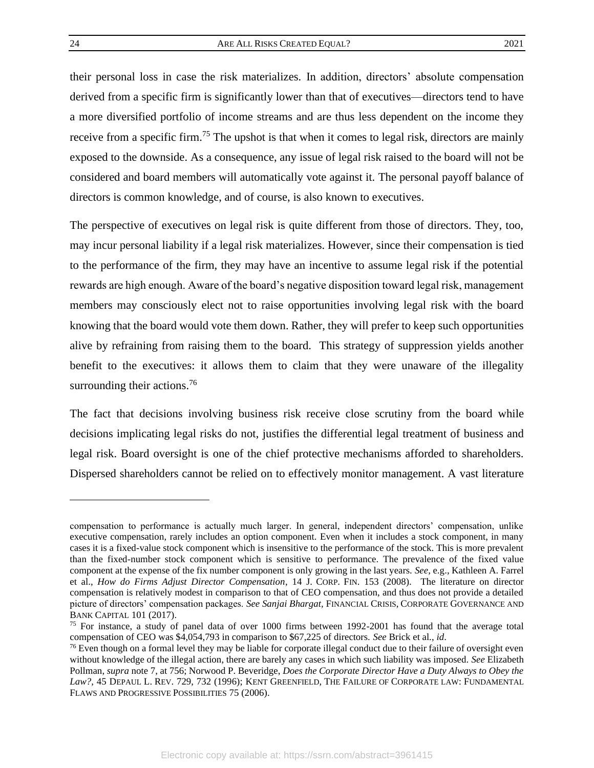their personal loss in case the risk materializes. In addition, directors' absolute compensation derived from a specific firm is significantly lower than that of executives—directors tend to have a more diversified portfolio of income streams and are thus less dependent on the income they receive from a specific firm.<sup>75</sup> The upshot is that when it comes to legal risk, directors are mainly exposed to the downside. As a consequence, any issue of legal risk raised to the board will not be considered and board members will automatically vote against it. The personal payoff balance of directors is common knowledge, and of course, is also known to executives.

The perspective of executives on legal risk is quite different from those of directors. They, too, may incur personal liability if a legal risk materializes. However, since their compensation is tied to the performance of the firm, they may have an incentive to assume legal risk if the potential rewards are high enough. Aware of the board's negative disposition toward legal risk, management members may consciously elect not to raise opportunities involving legal risk with the board knowing that the board would vote them down. Rather, they will prefer to keep such opportunities alive by refraining from raising them to the board. This strategy of suppression yields another benefit to the executives: it allows them to claim that they were unaware of the illegality surrounding their actions.<sup>76</sup>

The fact that decisions involving business risk receive close scrutiny from the board while decisions implicating legal risks do not, justifies the differential legal treatment of business and legal risk. Board oversight is one of the chief protective mechanisms afforded to shareholders. Dispersed shareholders cannot be relied on to effectively monitor management. A vast literature

compensation to performance is actually much larger. In general, independent directors' compensation, unlike executive compensation, rarely includes an option component. Even when it includes a stock component, in many cases it is a fixed-value stock component which is insensitive to the performance of the stock. This is more prevalent than the fixed-number stock component which is sensitive to performance. The prevalence of the fixed value component at the expense of the fix number component is only growing in the last years. *See*, e.g., Kathleen A. Farrel et al., *How do Firms Adjust Director Compensation*, 14 J. CORP. FIN. 153 (2008). The literature on director compensation is relatively modest in comparison to that of CEO compensation, and thus does not provide a detailed picture of directors' compensation packages. *See Sanjai Bhargat,* FINANCIAL CRISIS, CORPORATE GOVERNANCE AND BANK CAPITAL 101 (2017).

<sup>&</sup>lt;sup>75</sup> For instance, a study of panel data of over 1000 firms between 1992-2001 has found that the average total compensation of CEO was \$4,054,793 in comparison to \$67,225 of directors. *See* Brick et al., *id*.

<sup>&</sup>lt;sup>76</sup> Even though on a formal level they may be liable for corporate illegal conduct due to their failure of oversight even without knowledge of the illegal action, there are barely any cases in which such liability was imposed. *See* Elizabeth Pollman, *supra* note [7,](#page-6-1) at 756; Norwood P. Beveridge, *Does the Corporate Director Have a Duty Always to Obey the Law?*, 45 DEPAUL L. REV. 729, 732 (1996); KENT GREENFIELD, THE FAILURE OF CORPORATE LAW: FUNDAMENTAL FLAWS AND PROGRESSIVE POSSIBILITIES 75 (2006).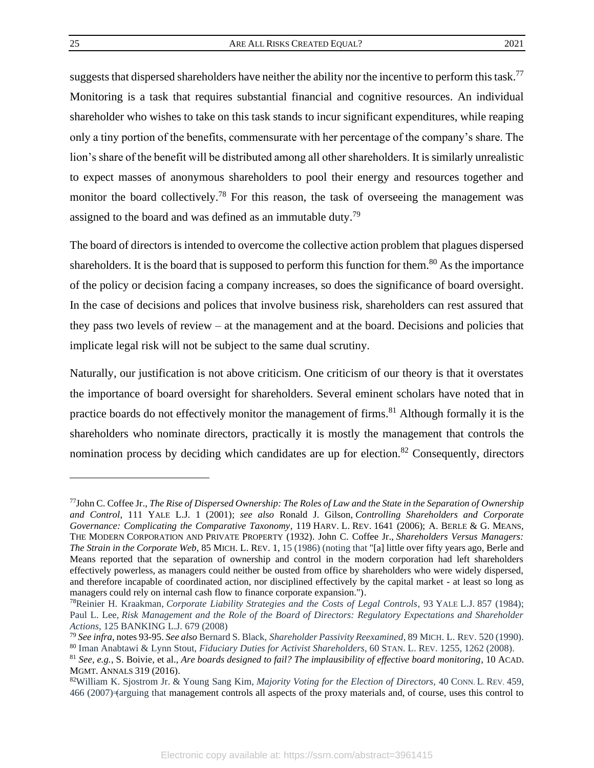suggests that dispersed shareholders have neither the ability nor the incentive to perform this task.<sup>77</sup> Monitoring is a task that requires substantial financial and cognitive resources. An individual shareholder who wishes to take on this task stands to incur significant expenditures, while reaping only a tiny portion of the benefits, commensurate with her percentage of the company's share. The lion's share of the benefit will be distributed among all other shareholders. It is similarly unrealistic to expect masses of anonymous shareholders to pool their energy and resources together and monitor the board collectively.<sup>78</sup> For this reason, the task of overseeing the management was assigned to the board and was defined as an immutable duty.<sup>79</sup>

The board of directors is intended to overcome the collective action problem that plagues dispersed shareholders. It is the board that is supposed to perform this function for them.<sup>80</sup> As the importance of the policy or decision facing a company increases, so does the significance of board oversight. In the case of decisions and polices that involve business risk, shareholders can rest assured that they pass two levels of review – at the management and at the board. Decisions and policies that implicate legal risk will not be subject to the same dual scrutiny.

Naturally, our justification is not above criticism. One criticism of our theory is that it overstates the importance of board oversight for shareholders. Several eminent scholars have noted that in practice boards do not effectively monitor the management of firms.<sup>81</sup> Although formally it is the shareholders who nominate directors, practically it is mostly the management that controls the nomination process by deciding which candidates are up for election.<sup>82</sup> Consequently, directors

<sup>77</sup>John C. Coffee Jr., *The Rise of Dispersed Ownership: The Roles of Law and the State in the Separation of Ownership and Control*, 111 YALE L.J. 1 (2001); *see also* Ronald J. Gilson, *Controlling Shareholders and Corporate Governance: Complicating the Comparative Taxonomy*, 119 HARV. L. REV. 1641 (2006); A. BERLE & G. MEANS, THE MODERN CORPORATION AND PRIVATE PROPERTY (1932). John C. Coffee Jr., *Shareholders Versus Managers: The Strain in the Corporate Web*, 85 MICH. L. REV. 1, 15 (1986) (noting that "[a] little over fifty years ago, Berle and Means reported that the separation of ownership and control in the modern corporation had left shareholders effectively powerless, as managers could neither be ousted from office by shareholders who were widely dispersed, and therefore incapable of coordinated action, nor disciplined effectively by the capital market - at least so long as managers could rely on internal cash flow to finance corporate expansion.").

<sup>78</sup>Reinier H. Kraakman, *Corporate Liability Strategies and the Costs of Legal Controls*, 93 YALE L.J. 857 (1984); Paul L. Lee, *Risk Management and the Role of the Board of Directors: Regulatory Expectations and Shareholder Actions*, 125 BANKING L.J. 679 (2008)

<sup>79</sup> *See infra*, note[s 93](#page-28-0)[-95.](#page-29-0) *See also* Bernard S. Black, *Shareholder Passivity Reexamined*, 89 MICH. L. REV. 520 (1990). <sup>80</sup> Iman Anabtawi & Lynn Stout, *Fiduciary Duties for Activist Shareholders*, 60 STAN. L. REV. 1255, 1262 (2008).

<sup>81</sup> *See, e.g.*, S. Boivie, et al., *Are boards designed to fail? The implausibility of effective board monitoring*, 10 ACAD. MGMT. ANNALS 319 (2016).

<sup>82</sup>William K. Sjostrom Jr. & Young Sang Kim, *Majority Voting for the Election of Directors*, 40 CONN. L. REV. 459,  $466 (2007)$   $\equiv$  farguing that management controls all aspects of the proxy materials and, of course, uses this control to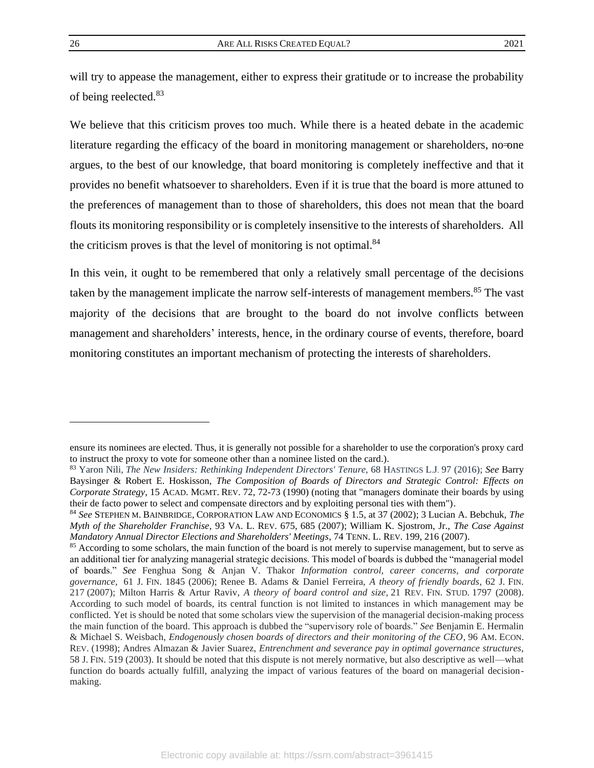will try to appease the management, either to express their gratitude or to increase the probability of being reelected. 83

We believe that this criticism proves too much. While there is a heated debate in the academic literature regarding the efficacy of the board in monitoring management or shareholders, no one argues, to the best of our knowledge, that board monitoring is completely ineffective and that it provides no benefit whatsoever to shareholders. Even if it is true that the board is more attuned to the preferences of management than to those of shareholders, this does not mean that the board flouts its monitoring responsibility or is completely insensitive to the interests of shareholders. All the criticism proves is that the level of monitoring is not optimal.<sup>84</sup>

In this vein, it ought to be remembered that only a relatively small percentage of the decisions taken by the management implicate the narrow self-interests of management members.<sup>85</sup> The vast majority of the decisions that are brought to the board do not involve conflicts between management and shareholders' interests, hence, in the ordinary course of events, therefore, board monitoring constitutes an important mechanism of protecting the interests of shareholders.

ensure its nominees are elected. Thus, it is generally not possible for a shareholder to use the corporation's proxy card to instruct the proxy to vote for someone other than a nominee listed on the card.).

<sup>83</sup> Yaron Nili, *The New Insiders: Rethinking Independent Directors' Tenure*, 68 HASTINGS L.J. 97 (2016); *See* Barry Baysinger & Robert E. Hoskisson, *The Composition of Boards of Directors and Strategic Control: Effects on Corporate Strategy*, 15 ACAD. MGMT. REV. 72, 72-73 (1990) (noting that "managers dominate their boards by using their de facto power to select and compensate directors and by exploiting personal ties with them").

<sup>84</sup> *See* STEPHEN M. BAINBRIDGE, CORPORATION LAW AND ECONOMICS § 1.5, at 37 (2002); 3 Lucian A. Bebchuk, *The Myth of the Shareholder Franchise*, 93 VA. L. REV. 675, 685 (2007); William K. Sjostrom, Jr., *The Case Against Mandatory Annual Director Elections and Shareholders' Meetings*, 74 TENN. L. REV. 199, 216 (2007).

<sup>&</sup>lt;sup>85</sup> According to some scholars, the main function of the board is not merely to supervise management, but to serve as an additional tier for analyzing managerial strategic decisions. This model of boards is dubbed the "managerial model of boards." *See* Fenghua Song & Anjan V. Thakor *Information control, career concerns, and corporate governance*, 61 J. FIN. 1845 (2006); Renee B. Adams & Daniel Ferreira, *A theory of friendly boards*, 62 J. FIN. 217 (2007); Milton Harris & Artur Raviv, *A theory of board control and size*, 21 REV. FIN. STUD. 1797 (2008). According to such model of boards, its central function is not limited to instances in which management may be conflicted. Yet is should be noted that some scholars view the supervision of the managerial decision-making process the main function of the board. This approach is dubbed the "supervisory role of boards." *See* Benjamin E. Hermalin & Michael S. Weisbach, *Endogenously chosen boards of directors and their monitoring of the CEO*, 96 AM. ECON. REV. (1998); Andres Almazan & Javier Suarez, *Entrenchment and severance pay in optimal governance structures*, 58 J. FIN. 519 (2003). It should be noted that this dispute is not merely normative, but also descriptive as well—what function do boards actually fulfill, analyzing the impact of various features of the board on managerial decisionmaking.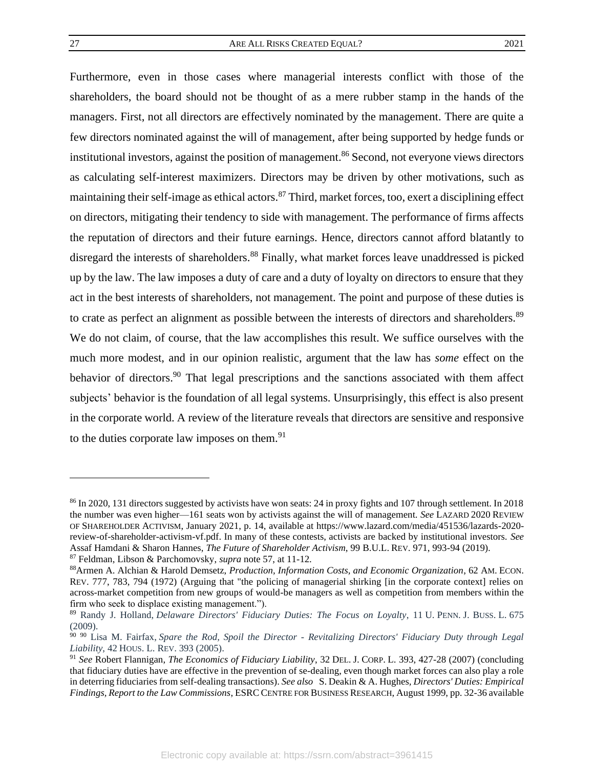Furthermore, even in those cases where managerial interests conflict with those of the shareholders, the board should not be thought of as a mere rubber stamp in the hands of the managers. First, not all directors are effectively nominated by the management. There are quite a few directors nominated against the will of management, after being supported by hedge funds or institutional investors, against the position of management. <sup>86</sup> Second, not everyone views directors as calculating self-interest maximizers. Directors may be driven by other motivations, such as maintaining their self-image as ethical actors.<sup>87</sup> Third, market forces, too, exert a disciplining effect on directors, mitigating their tendency to side with management. The performance of firms affects the reputation of directors and their future earnings. Hence, directors cannot afford blatantly to disregard the interests of shareholders.<sup>88</sup> Finally, what market forces leave unaddressed is picked up by the law. The law imposes a duty of care and a duty of loyalty on directors to ensure that they act in the best interests of shareholders, not management. The point and purpose of these duties is to crate as perfect an alignment as possible between the interests of directors and shareholders.<sup>89</sup> We do not claim, of course, that the law accomplishes this result. We suffice ourselves with the much more modest, and in our opinion realistic, argument that the law has *some* effect on the behavior of directors.<sup>90</sup> That legal prescriptions and the sanctions associated with them affect subjects' behavior is the foundation of all legal systems. Unsurprisingly, this effect is also present in the corporate world. A review of the literature reveals that directors are sensitive and responsive to the duties corporate law imposes on them.<sup>91</sup>

<sup>86</sup> In 2020, 131 directors suggested by activists have won seats: 24 in proxy fights and 107 through settlement. In 2018 the number was even higher—161 seats won by activists against the will of management. *See* LAZARD 2020 REVIEW OF SHAREHOLDER ACTIVISM, January 2021, p. 14, available at https://www.lazard.com/media/451536/lazards-2020 review-of-shareholder-activism-vf.pdf. In many of these contests, activists are backed by institutional investors. *See* Assaf Hamdani & Sharon Hannes, *The Future of Shareholder Activism*, 99 B.U.L. REV. 971, 993-94 (2019). <sup>87</sup> Feldman, Libson & Parchomovsky, *supra* note [57,](#page-19-0) at 11-12.

<sup>88</sup>Armen A. Alchian & Harold Demsetz, *Production, Information Costs, and Economic Organization*, 62 AM. ECON. REV. 777, 783, 794 (1972) (Arguing that "the policing of managerial shirking [in the corporate context] relies on across-market competition from new groups of would-be managers as well as competition from members within the firm who seek to displace existing management.").

<sup>89</sup> Randy J. Holland, *Delaware Directors' Fiduciary Duties: The Focus on Loyalty*, 11 U. PENN. J. BUSS. L. 675  $(2009)$ .

<sup>90</sup> <sup>90</sup> Lisa M. Fairfax, *Spare the Rod, Spoil the Director - Revitalizing Directors' Fiduciary Duty through Legal Liability*, 42 HOUS. L. REV. 393 (2005).

<sup>91</sup> *See* Robert Flannigan, *The Economics of Fiduciary Liability*, 32 DEL. J. CORP. L. 393, 427-28 (2007) (concluding that fiduciary duties have are effective in the prevention of se-dealing, even though market forces can also play a role in deterring fiduciaries from self-dealing transactions). *See also* S. Deakin & A. Hughes*, Directors' Duties: Empirical Findings, Report to the Law Commissions*, ESRCCENTRE FOR BUSINESS RESEARCH, August 1999, pp. 32-36 available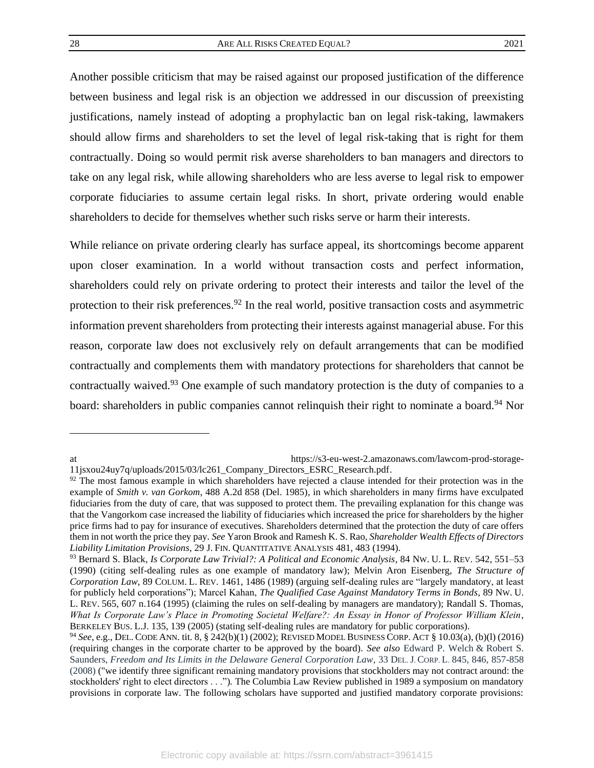Another possible criticism that may be raised against our proposed justification of the difference between business and legal risk is an objection we addressed in our discussion of preexisting justifications, namely instead of adopting a prophylactic ban on legal risk-taking, lawmakers should allow firms and shareholders to set the level of legal risk-taking that is right for them contractually. Doing so would permit risk averse shareholders to ban managers and directors to take on any legal risk, while allowing shareholders who are less averse to legal risk to empower corporate fiduciaries to assume certain legal risks. In short, private ordering would enable shareholders to decide for themselves whether such risks serve or harm their interests.

While reliance on private ordering clearly has surface appeal, its shortcomings become apparent upon closer examination. In a world without transaction costs and perfect information, shareholders could rely on private ordering to protect their interests and tailor the level of the protection to their risk preferences.<sup>92</sup> In the real world, positive transaction costs and asymmetric information prevent shareholders from protecting their interests against managerial abuse. For this reason, corporate law does not exclusively rely on default arrangements that can be modified contractually and complements them with mandatory protections for shareholders that cannot be contractually waived.<sup>93</sup> One example of such mandatory protection is the duty of companies to a board: shareholders in public companies cannot relinquish their right to nominate a board.<sup>94</sup> Nor

<span id="page-28-0"></span>

at https://s3-eu-west-2.amazonaws.com/lawcom-prod-storage-11jsxou24uy7q/uploads/2015/03/lc261\_Company\_Directors\_ESRC\_Research.pdf.

 $92$  The most famous example in which shareholders have rejected a clause intended for their protection was in the example of *Smith v. van Gorkom*, 488 A.2d 858 (Del. 1985), in which shareholders in many firms have exculpated fiduciaries from the duty of care, that was supposed to protect them. The prevailing explanation for this change was that the Vangorkom case increased the liability of fiduciaries which increased the price for shareholders by the higher price firms had to pay for insurance of executives. Shareholders determined that the protection the duty of care offers them in not worth the price they pay. *See* Yaron Brook and Ramesh K. S. Rao, *Shareholder Wealth Effects of Directors Liability Limitation Provisions*, 29 J. FIN. QUANTITATIVE ANALYSIS 481, 483 (1994).

<sup>93</sup> Bernard S. Black*, Is Corporate Law Trivial?: A Political and Economic Analysis*, 84 NW. U. L. REV. 542, 551–53 (1990) (citing self-dealing rules as one example of mandatory law); Melvin Aron Eisenberg, *The Structure of Corporation Law*, 89 COLUM. L. REV. 1461, 1486 (1989) (arguing self-dealing rules are "largely mandatory, at least for publicly held corporations"); Marcel Kahan, *The Qualified Case Against Mandatory Terms in Bonds*, 89 NW. U. L. REV. 565, 607 n.164 (1995) (claiming the rules on self-dealing by managers are mandatory); Randall S. Thomas, *What Is Corporate Law's Place in Promoting Societal Welfare?: An Essay in Honor of Professor William Klein*, BERKELEY BUS. L.J. 135, 139 (2005) (stating self-dealing rules are mandatory for public corporations).

<sup>94</sup> *See*, e.g., DEL. CODE ANN. tit. 8, § 242(b)(1) (2002); REVISED MODEL BUSINESS CORP. ACT § 10.03(a), (b)(l) (2016) (requiring changes in the corporate charter to be approved by the board). *See also* Edward P. Welch & Robert S. Saunders, *Freedom and Its Limits in the Delaware General Corporation Law*, 33 DEL.J. CORP. L. 845, 846, 857-858 (2008) ("we identify three significant remaining mandatory provisions that stockholders may not contract around: the stockholders' right to elect directors . . .")*.* The Columbia Law Review published in 1989 a symposium on mandatory provisions in corporate law. The following scholars have supported and justified mandatory corporate provisions: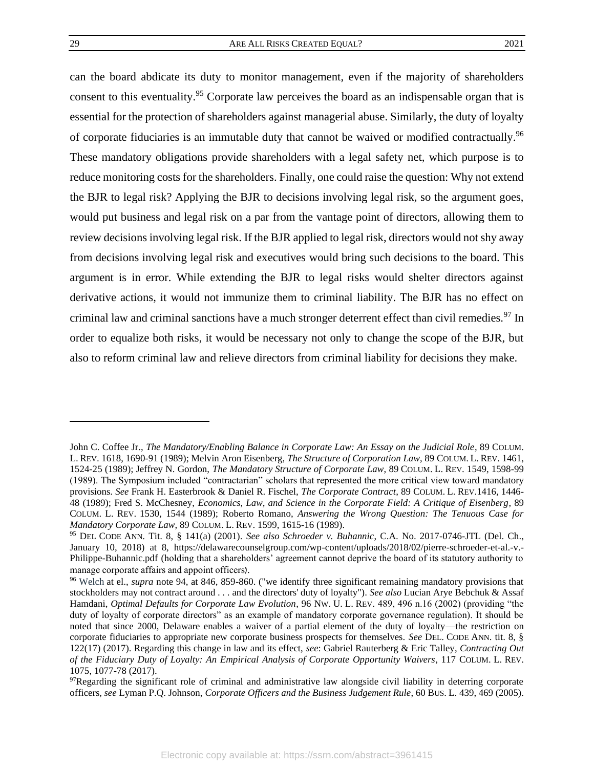<span id="page-29-0"></span>can the board abdicate its duty to monitor management, even if the majority of shareholders consent to this eventuality.<sup>95</sup> Corporate law perceives the board as an indispensable organ that is essential for the protection of shareholders against managerial abuse. Similarly, the duty of loyalty of corporate fiduciaries is an immutable duty that cannot be waived or modified contractually.<sup>96</sup> These mandatory obligations provide shareholders with a legal safety net, which purpose is to reduce monitoring costs for the shareholders. Finally, one could raise the question: Why not extend the BJR to legal risk? Applying the BJR to decisions involving legal risk, so the argument goes, would put business and legal risk on a par from the vantage point of directors, allowing them to review decisions involving legal risk. If the BJR applied to legal risk, directors would not shy away from decisions involving legal risk and executives would bring such decisions to the board. This argument is in error. While extending the BJR to legal risks would shelter directors against derivative actions, it would not immunize them to criminal liability. The BJR has no effect on criminal law and criminal sanctions have a much stronger deterrent effect than civil remedies.<sup>97</sup> In order to equalize both risks, it would be necessary not only to change the scope of the BJR, but also to reform criminal law and relieve directors from criminal liability for decisions they make.

John C. Coffee Jr., *The Mandatory/Enabling Balance in Corporate Law: An Essay on the Judicial Role*, 89 COLUM. L. REV. 1618, 1690-91 (1989); Melvin Aron Eisenberg, *The Structure of Corporation Law*, 89 COLUM. L. REV. 1461, 1524-25 (1989); Jeffrey N. Gordon, *The Mandatory Structure of Corporate Law*, 89 COLUM. L. REV. 1549, 1598-99 (1989). The Symposium included "contractarian" scholars that represented the more critical view toward mandatory provisions. *See* Frank H. Easterbrook & Daniel R. Fischel, *The Corporate Contract*, 89 COLUM. L. REV.1416, 1446- 48 (1989); Fred S. McChesney, *Economics, Law, and Science in the Corporate Field: A Critique of Eisenberg*, 89 COLUM. L. REV. 1530, 1544 (1989); Roberto Romano, *Answering the Wrong Question: The Tenuous Case for Mandatory Corporate Law*, 89 COLUM. L. REV. 1599, 1615-16 (1989).

<sup>95</sup> DEL CODE ANN. Tit. 8, § 141(a) (2001). *See also Schroeder v. Buhannic*, C.A. No. 2017-0746-JTL (Del. Ch., January 10, 2018) at 8, https://delawarecounselgroup.com/wp-content/uploads/2018/02/pierre-schroeder-et-al.-v.- Philippe-Buhannic.pdf (holding that a shareholders' agreement cannot deprive the board of its statutory authority to manage corporate affairs and appoint officers).

<sup>96</sup> Welch at el., *supra* note 94, at 846, 859-860. ("we identify three significant remaining mandatory provisions that stockholders may not contract around . . . and the directors' duty of loyalty"). *See also* Lucian Arye Bebchuk & Assaf Hamdani, *Optimal Defaults for Corporate Law Evolution*, 96 NW. U. L. REV. 489, 496 n.16 (2002) (providing "the duty of loyalty of corporate directors" as an example of mandatory corporate governance regulation). It should be noted that since 2000, Delaware enables a waiver of a partial element of the duty of loyalty—the restriction on corporate fiduciaries to appropriate new corporate business prospects for themselves. *See* DEL. CODE ANN. tit. 8, § 122(17) (2017). Regarding this change in law and its effect, *see*: Gabriel Rauterberg & Eric Talley, *Contracting Out of the Fiduciary Duty of Loyalty: An Empirical Analysis of Corporate Opportunity Waivers*, 117 COLUM. L. REV. 1075, 1077-78 (2017).

 $97$ Regarding the significant role of criminal and administrative law alongside civil liability in deterring corporate officers, *see* Lyman P.Q. Johnson, *Corporate Officers and the Business Judgement Rule*, 60 BUS. L. 439, 469 (2005).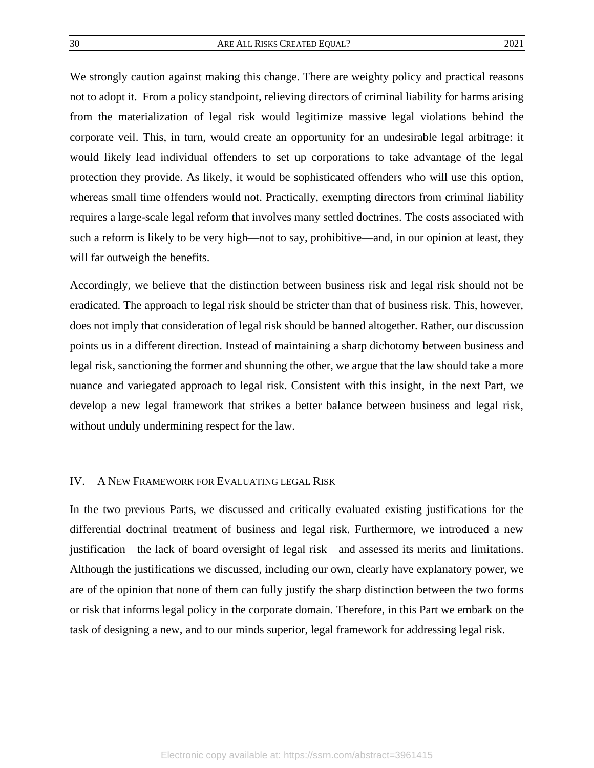We strongly caution against making this change. There are weighty policy and practical reasons not to adopt it. From a policy standpoint, relieving directors of criminal liability for harms arising from the materialization of legal risk would legitimize massive legal violations behind the corporate veil. This, in turn, would create an opportunity for an undesirable legal arbitrage: it would likely lead individual offenders to set up corporations to take advantage of the legal protection they provide. As likely, it would be sophisticated offenders who will use this option, whereas small time offenders would not. Practically, exempting directors from criminal liability requires a large-scale legal reform that involves many settled doctrines. The costs associated with such a reform is likely to be very high—not to say, prohibitive—and, in our opinion at least, they will far outweigh the benefits.

Accordingly, we believe that the distinction between business risk and legal risk should not be eradicated. The approach to legal risk should be stricter than that of business risk. This, however, does not imply that consideration of legal risk should be banned altogether. Rather, our discussion points us in a different direction. Instead of maintaining a sharp dichotomy between business and legal risk, sanctioning the former and shunning the other, we argue that the law should take a more nuance and variegated approach to legal risk. Consistent with this insight, in the next Part, we develop a new legal framework that strikes a better balance between business and legal risk, without unduly undermining respect for the law.

#### <span id="page-30-0"></span>IV. A NEW FRAMEWORK FOR EVALUATING LEGAL RISK

In the two previous Parts, we discussed and critically evaluated existing justifications for the differential doctrinal treatment of business and legal risk. Furthermore, we introduced a new justification—the lack of board oversight of legal risk—and assessed its merits and limitations. Although the justifications we discussed, including our own, clearly have explanatory power, we are of the opinion that none of them can fully justify the sharp distinction between the two forms or risk that informs legal policy in the corporate domain. Therefore, in this Part we embark on the task of designing a new, and to our minds superior, legal framework for addressing legal risk.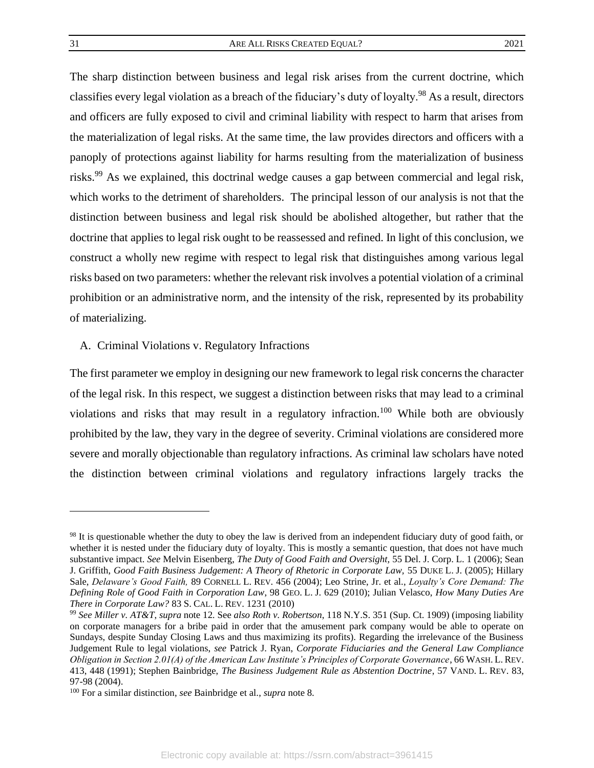The sharp distinction between business and legal risk arises from the current doctrine, which classifies every legal violation as a breach of the fiduciary's duty of loyalty.<sup>98</sup> As a result, directors and officers are fully exposed to civil and criminal liability with respect to harm that arises from the materialization of legal risks. At the same time, the law provides directors and officers with a panoply of protections against liability for harms resulting from the materialization of business risks.<sup>99</sup> As we explained, this doctrinal wedge causes a gap between commercial and legal risk, which works to the detriment of shareholders. The principal lesson of our analysis is not that the distinction between business and legal risk should be abolished altogether, but rather that the doctrine that applies to legal risk ought to be reassessed and refined. In light of this conclusion, we construct a wholly new regime with respect to legal risk that distinguishes among various legal risks based on two parameters: whether the relevant risk involves a potential violation of a criminal prohibition or an administrative norm, and the intensity of the risk, represented by its probability of materializing.

#### <span id="page-31-0"></span>A. Criminal Violations v. Regulatory Infractions

The first parameter we employ in designing our new framework to legal risk concerns the character of the legal risk. In this respect, we suggest a distinction between risks that may lead to a criminal violations and risks that may result in a regulatory infraction.<sup>100</sup> While both are obviously prohibited by the law, they vary in the degree of severity. Criminal violations are considered more severe and morally objectionable than regulatory infractions. As criminal law scholars have noted the distinction between criminal violations and regulatory infractions largely tracks the

<sup>&</sup>lt;sup>98</sup> It is questionable whether the duty to obey the law is derived from an independent fiduciary duty of good faith, or whether it is nested under the fiduciary duty of loyalty. This is mostly a semantic question, that does not have much substantive impact. *See* Melvin Eisenberg, *The Duty of Good Faith and Oversight,* 55 Del. J. Corp. L. 1 (2006); Sean J. Griffith, *Good Faith Business Judgement: A Theory of Rhetoric in Corporate Law,* 55 DUKE L. J. (2005); Hillary Sale, *Delaware's Good Faith,* 89 CORNELL L. REV. 456 (2004); Leo Strine, Jr. et al., *Loyalty's Core Demand: The Defining Role of Good Faith in Corporation Law*, 98 GEO. L. J. 629 (2010); Julian Velasco, *How Many Duties Are There in Corporate Law?* 83 S. CAL. L. REV. 1231 (2010)

<sup>99</sup> *See Miller v. AT&T*, *supra* note [12](#page-8-1)*.* See *also Roth v. Robertson*, 118 N.Y.S. 351 (Sup. Ct. 1909) (imposing liability on corporate managers for a bribe paid in order that the amusement park company would be able to operate on Sundays, despite Sunday Closing Laws and thus maximizing its profits). Regarding the irrelevance of the Business Judgement Rule to legal violations, *see* Patrick J. Ryan, *Corporate Fiduciaries and the General Law Compliance Obligation in Section 2.01(A) of the American Law Institute's Principles of Corporate Governance*, 66 WASH. L. REV. 413, 448 (1991); Stephen Bainbridge, *The Business Judgement Rule as Abstention Doctrine*, 57 VAND. L. REV. 83, 97-98 (2004).

<sup>100</sup> For a similar distinction, *see* Bainbridge et al., *supra* not[e 8.](#page-6-0)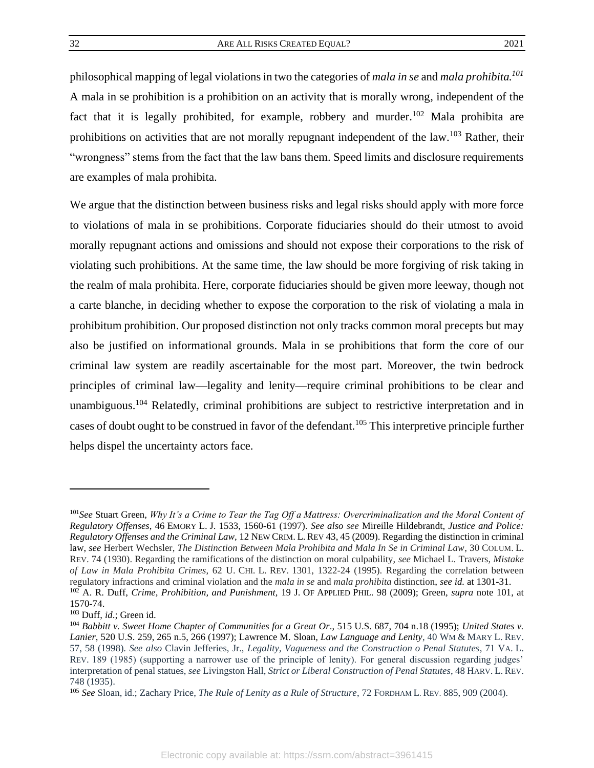<span id="page-32-0"></span>

philosophical mapping of legal violations in two the categories of *mala in se* and *mala prohibita.<sup>101</sup>* A mala in se prohibition is a prohibition on an activity that is morally wrong, independent of the fact that it is legally prohibited, for example, robbery and murder.<sup>102</sup> Mala prohibita are prohibitions on activities that are not morally repugnant independent of the law.<sup>103</sup> Rather, their "wrongness" stems from the fact that the law bans them. Speed limits and disclosure requirements are examples of mala prohibita.

We argue that the distinction between business risks and legal risks should apply with more force to violations of mala in se prohibitions. Corporate fiduciaries should do their utmost to avoid morally repugnant actions and omissions and should not expose their corporations to the risk of violating such prohibitions. At the same time, the law should be more forgiving of risk taking in the realm of mala prohibita. Here, corporate fiduciaries should be given more leeway, though not a carte blanche, in deciding whether to expose the corporation to the risk of violating a mala in prohibitum prohibition. Our proposed distinction not only tracks common moral precepts but may also be justified on informational grounds. Mala in se prohibitions that form the core of our criminal law system are readily ascertainable for the most part. Moreover, the twin bedrock principles of criminal law—legality and lenity—require criminal prohibitions to be clear and unambiguous.<sup>104</sup> Relatedly, criminal prohibitions are subject to restrictive interpretation and in cases of doubt ought to be construed in favor of the defendant.<sup>105</sup> This interpretive principle further helps dispel the uncertainty actors face.

<span id="page-32-1"></span><sup>101</sup>*See* Stuart Green, *Why It's a Crime to Tear the Tag Off a Mattress: Overcriminalization and the Moral Content of Regulatory Offenses*, 46 EMORY L. J. 1533, 1560-61 (1997). *See also see* Mireille Hildebrandt, *Justice and Police: Regulatory Offenses and the Criminal Law,* 12 NEW CRIM. L. REV 43, 45 (2009). Regarding the distinction in criminal law, *see* Herbert Wechsler, *The Distinction Between Mala Prohibita and Mala In Se in Criminal Law*, 30 COLUM. L. REV. 74 (1930). Regarding the ramifications of the distinction on moral culpability, *see* Michael L. Travers, *Mistake of Law in Mala Prohibita Crimes*, 62 U. CHI. L. REV. 1301, 1322-24 (1995). Regarding the correlation between regulatory infractions and criminal violation and the *mala in se* and *mala prohibita* distinction, *see id.* at 1301-31. <sup>102</sup> A. R. Duff, *Crime, Prohibition, and Punishment,* 19 J. OF APPLIED PHIL. 98 (2009); Green, *supra* note 101, at 1570-74.

<sup>103</sup> Duff, *id*.; Green id.

<sup>104</sup> *Babbitt v. Sweet Home Chapter of Communities for a Great Or*., 515 U.S. 687, 704 n.18 (1995); *United States v. Lanier*, 520 U.S. 259, 265 n.5, 266 (1997); Lawrence M. Sloan*, Law Language and Lenity*, 40 WM & MARY L. REV. 57, 58 (1998). *See also* Clavin Jefferies, Jr., *Legality, Vagueness and the Construction o Penal Statutes*, 71 VA. L. REV. 189 (1985) (supporting a narrower use of the principle of lenity). For general discussion regarding judges' interpretation of penal statues, *see* Livingston Hall, *Strict or Liberal Construction of Penal Statutes*, 48 HARV. L. REV. 748 (1935).

<sup>105</sup> *See* Sloan, id.; Zachary Price, *The Rule of Lenity as a Rule of Structure*, 72 FORDHAM L. REV. 885, 909 (2004).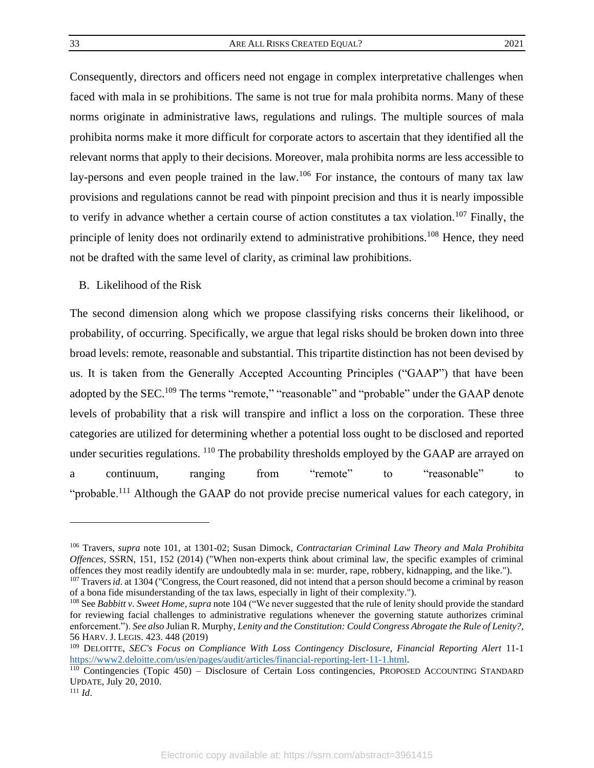Consequently, directors and officers need not engage in complex interpretative challenges when faced with mala in se prohibitions. The same is not true for mala prohibita norms. Many of these norms originate in administrative laws, regulations and rulings. The multiple sources of mala prohibita norms make it more difficult for corporate actors to ascertain that they identified all the relevant norms that apply to their decisions. Moreover, mala prohibita norms are less accessible to lay-persons and even people trained in the law.<sup>106</sup> For instance, the contours of many tax law provisions and regulations cannot be read with pinpoint precision and thus it is nearly impossible to verify in advance whether a certain course of action constitutes a tax violation.<sup>107</sup> Finally, the principle of lenity does not ordinarily extend to administrative prohibitions.<sup>108</sup> Hence, they need not be drafted with the same level of clarity, as criminal law prohibitions.

<span id="page-33-0"></span>B. Likelihood of the Risk

The second dimension along which we propose classifying risks concerns their likelihood, or probability, of occurring. Specifically, we argue that legal risks should be broken down into three broad levels: remote, reasonable and substantial. This tripartite distinction has not been devised by us. It is taken from the Generally Accepted Accounting Principles ("GAAP") that have been adopted by the SEC.<sup>109</sup> The terms "remote," "reasonable" and "probable" under the GAAP denote levels of probability that a risk will transpire and inflict a loss on the corporation. These three categories are utilized for determining whether a potential loss ought to be disclosed and reported under securities regulations. <sup>110</sup> The probability thresholds employed by the GAAP are arrayed on a continuum, ranging from "remote" to "reasonable" to "probable.<sup>111</sup> Although the GAAP do not provide precise numerical values for each category, in

<span id="page-33-1"></span><sup>106</sup> Travers, *supra* note [101,](#page-32-0) at 1301-02; Susan Dimock, *Contractarian Criminal Law Theory and Mala Prohibita Offences*, SSRN, 151, 152 (2014) ("When non-experts think about criminal law, the specific examples of criminal offences they most readily identify are undoubtedly mala in se: murder, rape, robbery, kidnapping, and the like.").

<sup>&</sup>lt;sup>107</sup> Travers *id*. at 1304 ("Congress, the Court reasoned, did not intend that a person should become a criminal by reason of a bona fide misunderstanding of the tax laws, especially in light of their complexity.").

<sup>108</sup> See *Babbitt v. Sweet Home*, *supra* not[e 104](#page-32-1) ("We never suggested that the rule of lenity should provide the standard for reviewing facial challenges to administrative regulations whenever the governing statute authorizes criminal enforcement."). *See also* Julian R. Murphy, *Lenity and the Constitution: Could Congress Abrogate the Rule of Lenity?,* 56 HARV. J. LEGIS. 423. 448 (2019)

<sup>109</sup> DELOITTE, *SEC's Focus on Compliance With Loss Contingency Disclosure, Financial Reporting Alert* 11-1 [https://www2.deloitte.com/us/en/pages/audit/articles/financial-reporting-lert-11-1.html.](https://www2.deloitte.com/us/en/pages/audit/articles/financial-reporting-lert-11-1.html)

<sup>&</sup>lt;sup>110</sup> Contingencies (Topic 450) – Disclosure of Certain Loss contingencies, PROPOSED ACCOUNTING STANDARD UPDATE, July 20, 2010.

<sup>111</sup> *Id*.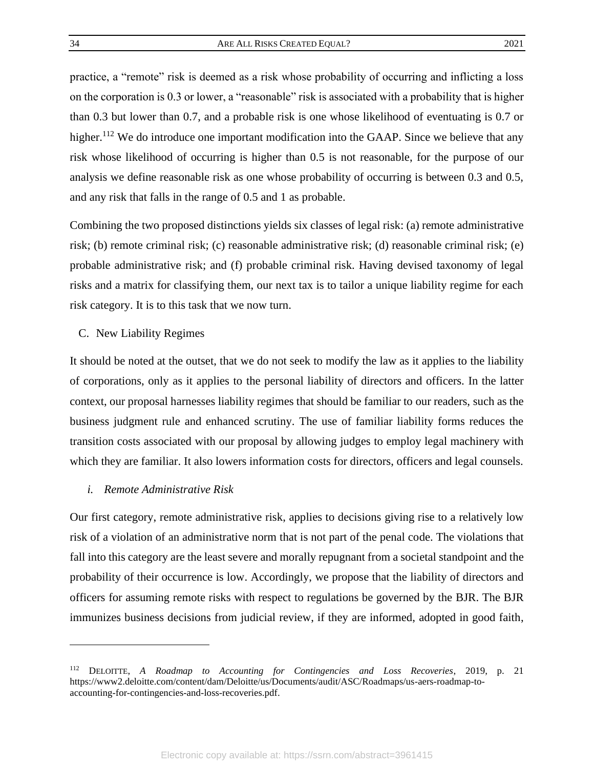practice, a "remote" risk is deemed as a risk whose probability of occurring and inflicting a loss on the corporation is 0.3 or lower, a "reasonable" risk is associated with a probability that is higher than 0.3 but lower than 0.7, and a probable risk is one whose likelihood of eventuating is 0.7 or higher.<sup>112</sup> We do introduce one important modification into the GAAP. Since we believe that any risk whose likelihood of occurring is higher than 0.5 is not reasonable, for the purpose of our analysis we define reasonable risk as one whose probability of occurring is between 0.3 and 0.5, and any risk that falls in the range of 0.5 and 1 as probable.

Combining the two proposed distinctions yields six classes of legal risk: (a) remote administrative risk; (b) remote criminal risk; (c) reasonable administrative risk; (d) reasonable criminal risk; (e) probable administrative risk; and (f) probable criminal risk. Having devised taxonomy of legal risks and a matrix for classifying them, our next tax is to tailor a unique liability regime for each risk category. It is to this task that we now turn.

#### <span id="page-34-0"></span>C. New Liability Regimes

It should be noted at the outset, that we do not seek to modify the law as it applies to the liability of corporations, only as it applies to the personal liability of directors and officers. In the latter context, our proposal harnesses liability regimes that should be familiar to our readers, such as the business judgment rule and enhanced scrutiny. The use of familiar liability forms reduces the transition costs associated with our proposal by allowing judges to employ legal machinery with which they are familiar. It also lowers information costs for directors, officers and legal counsels.

#### <span id="page-34-1"></span>*i. Remote Administrative Risk*

Our first category, remote administrative risk, applies to decisions giving rise to a relatively low risk of a violation of an administrative norm that is not part of the penal code. The violations that fall into this category are the least severe and morally repugnant from a societal standpoint and the probability of their occurrence is low. Accordingly, we propose that the liability of directors and officers for assuming remote risks with respect to regulations be governed by the BJR. The BJR immunizes business decisions from judicial review, if they are informed, adopted in good faith,

<sup>112</sup> DELOITTE, *A Roadmap to Accounting for Contingencies and Loss Recoveries*, 2019, p. 21 https://www2.deloitte.com/content/dam/Deloitte/us/Documents/audit/ASC/Roadmaps/us-aers-roadmap-toaccounting-for-contingencies-and-loss-recoveries.pdf.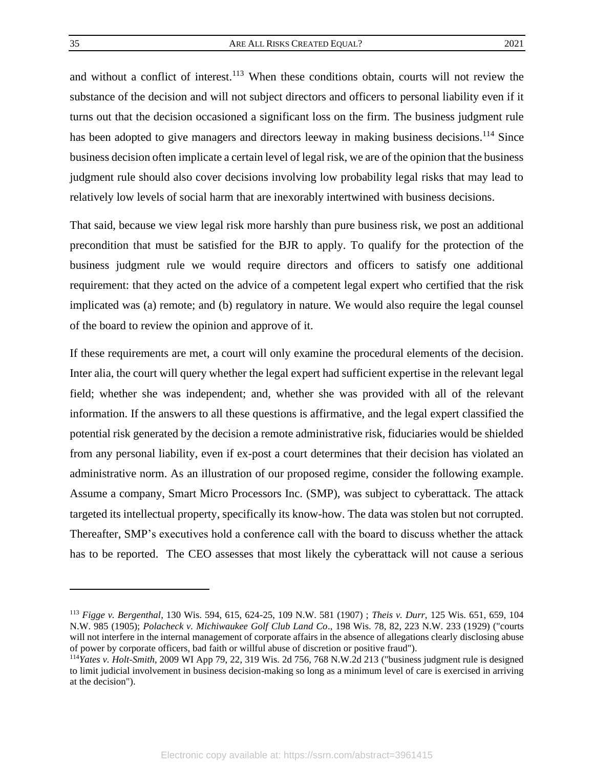and without a conflict of interest.<sup>113</sup> When these conditions obtain, courts will not review the substance of the decision and will not subject directors and officers to personal liability even if it turns out that the decision occasioned a significant loss on the firm. The business judgment rule has been adopted to give managers and directors leeway in making business decisions.<sup>114</sup> Since business decision often implicate a certain level of legal risk, we are of the opinion that the business judgment rule should also cover decisions involving low probability legal risks that may lead to relatively low levels of social harm that are inexorably intertwined with business decisions.

That said, because we view legal risk more harshly than pure business risk, we post an additional precondition that must be satisfied for the BJR to apply. To qualify for the protection of the business judgment rule we would require directors and officers to satisfy one additional requirement: that they acted on the advice of a competent legal expert who certified that the risk implicated was (a) remote; and (b) regulatory in nature. We would also require the legal counsel of the board to review the opinion and approve of it.

If these requirements are met, a court will only examine the procedural elements of the decision. Inter alia, the court will query whether the legal expert had sufficient expertise in the relevant legal field; whether she was independent; and, whether she was provided with all of the relevant information. If the answers to all these questions is affirmative, and the legal expert classified the potential risk generated by the decision a remote administrative risk, fiduciaries would be shielded from any personal liability, even if ex-post a court determines that their decision has violated an administrative norm. As an illustration of our proposed regime, consider the following example. Assume a company, Smart Micro Processors Inc. (SMP), was subject to cyberattack. The attack targeted its intellectual property, specifically its know-how. The data was stolen but not corrupted. Thereafter, SMP's executives hold a conference call with the board to discuss whether the attack has to be reported. The CEO assesses that most likely the cyberattack will not cause a serious

<sup>113</sup> *Figge v. Bergenthal*, 130 Wis. 594, 615, 624-25, 109 N.W. 581 (1907) ; *Theis v. Durr*, 125 Wis. 651, 659, 104 N.W. 985 (1905); *Polacheck v. Michiwaukee Golf Club Land Co*., 198 Wis. 78, 82, 223 N.W. 233 (1929) ("courts will not interfere in the internal management of corporate affairs in the absence of allegations clearly disclosing abuse of power by corporate officers, bad faith or willful abuse of discretion or positive fraud").

<sup>114</sup>*Yates v. Holt-Smith*, 2009 WI App 79, 22, 319 Wis. 2d 756, 768 N.W.2d 213 ("business judgment rule is designed to limit judicial involvement in business decision-making so long as a minimum level of care is exercised in arriving at the decision").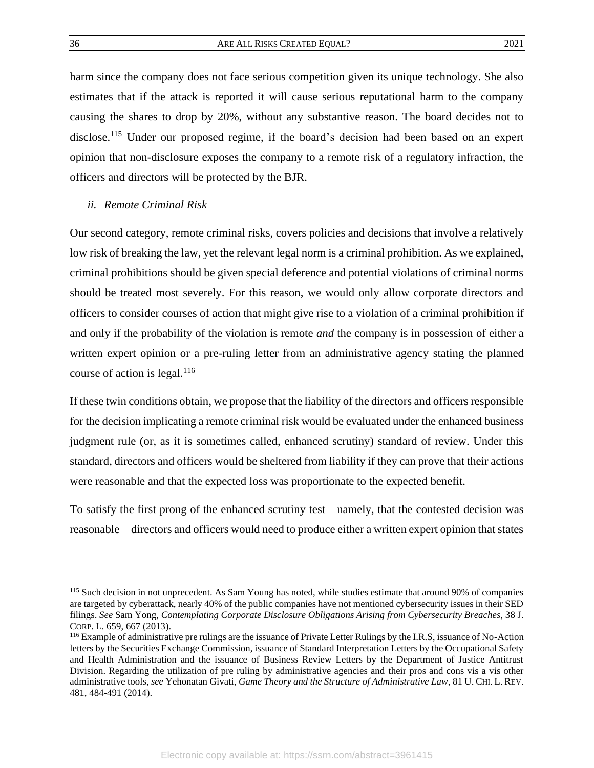harm since the company does not face serious competition given its unique technology. She also estimates that if the attack is reported it will cause serious reputational harm to the company causing the shares to drop by 20%, without any substantive reason. The board decides not to disclose.<sup>115</sup> Under our proposed regime, if the board's decision had been based on an expert opinion that non-disclosure exposes the company to a remote risk of a regulatory infraction, the officers and directors will be protected by the BJR.

## <span id="page-36-0"></span>*ii. Remote Criminal Risk*

Our second category, remote criminal risks, covers policies and decisions that involve a relatively low risk of breaking the law, yet the relevant legal norm is a criminal prohibition. As we explained, criminal prohibitions should be given special deference and potential violations of criminal norms should be treated most severely. For this reason, we would only allow corporate directors and officers to consider courses of action that might give rise to a violation of a criminal prohibition if and only if the probability of the violation is remote *and* the company is in possession of either a written expert opinion or a pre-ruling letter from an administrative agency stating the planned course of action is legal. $116$ 

If these twin conditions obtain, we propose that the liability of the directors and officers responsible for the decision implicating a remote criminal risk would be evaluated under the enhanced business judgment rule (or, as it is sometimes called, enhanced scrutiny) standard of review. Under this standard, directors and officers would be sheltered from liability if they can prove that their actions were reasonable and that the expected loss was proportionate to the expected benefit.

To satisfy the first prong of the enhanced scrutiny test—namely, that the contested decision was reasonable—directors and officers would need to produce either a written expert opinion that states

<sup>&</sup>lt;sup>115</sup> Such decision in not unprecedent. As Sam Young has noted, while studies estimate that around 90% of companies are targeted by cyberattack, nearly 40% of the public companies have not mentioned cybersecurity issues in their SED filings. *See* Sam Yong, *Contemplating Corporate Disclosure Obligations Arising from Cybersecurity Breaches*, 38 J. CORP. L. 659, 667 (2013).

<sup>116</sup> Example of administrative pre rulings are the issuance of Private Letter Rulings by the I.R.S, issuance of No-Action letters by the Securities Exchange Commission, issuance of Standard Interpretation Letters by the Occupational Safety and Health Administration and the issuance of Business Review Letters by the Department of Justice Antitrust Division. Regarding the utilization of pre ruling by administrative agencies and their pros and cons vis a vis other administrative tools, *see* Yehonatan Givati, *Game Theory and the Structure of Administrative Law*, 81 U. CHI. L. REV. 481, 484-491 (2014).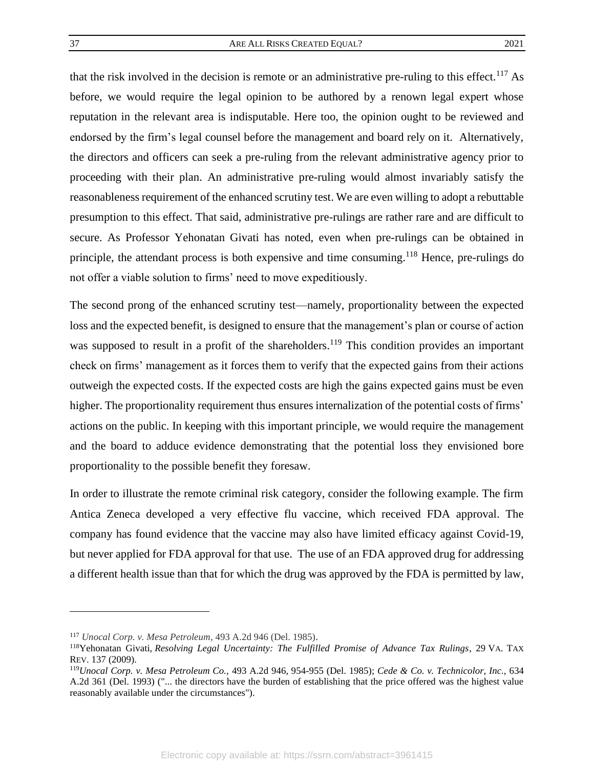that the risk involved in the decision is remote or an administrative pre-ruling to this effect.<sup>117</sup> As before, we would require the legal opinion to be authored by a renown legal expert whose reputation in the relevant area is indisputable. Here too, the opinion ought to be reviewed and endorsed by the firm's legal counsel before the management and board rely on it. Alternatively, the directors and officers can seek a pre-ruling from the relevant administrative agency prior to proceeding with their plan. An administrative pre-ruling would almost invariably satisfy the reasonableness requirement of the enhanced scrutiny test. We are even willing to adopt a rebuttable presumption to this effect. That said, administrative pre-rulings are rather rare and are difficult to secure. As Professor Yehonatan Givati has noted, even when pre-rulings can be obtained in principle, the attendant process is both expensive and time consuming.<sup>118</sup> Hence, pre-rulings do not offer a viable solution to firms' need to move expeditiously.

The second prong of the enhanced scrutiny test—namely, proportionality between the expected loss and the expected benefit, is designed to ensure that the management's plan or course of action was supposed to result in a profit of the shareholders.<sup>119</sup> This condition provides an important check on firms' management as it forces them to verify that the expected gains from their actions outweigh the expected costs. If the expected costs are high the gains expected gains must be even higher. The proportionality requirement thus ensures internalization of the potential costs of firms' actions on the public. In keeping with this important principle, we would require the management and the board to adduce evidence demonstrating that the potential loss they envisioned bore proportionality to the possible benefit they foresaw.

In order to illustrate the remote criminal risk category, consider the following example. The firm Antica Zeneca developed a very effective flu vaccine, which received FDA approval. The company has found evidence that the vaccine may also have limited efficacy against Covid-19, but never applied for FDA approval for that use. The use of an FDA approved drug for addressing a different health issue than that for which the drug was approved by the FDA is permitted by law,

<sup>117</sup> *Unocal Corp. v. Mesa Petroleum*, 493 A.2d 946 (Del. 1985).

<sup>118</sup>Yehonatan Givati, *Resolving Legal Uncertainty: The Fulfilled Promise of Advance Tax Rulings*, 29 VA. TAX REV. 137 (2009).

<sup>119</sup>*Unocal Corp. v. Mesa Petroleum Co.,* 493 A.2d 946, 954-955 (Del. 1985); *Cede & Co. v. Technicolor, Inc.,* 634 A.2d 361 (Del. 1993) ("... the directors have the burden of establishing that the price offered was the highest value reasonably available under the circumstances").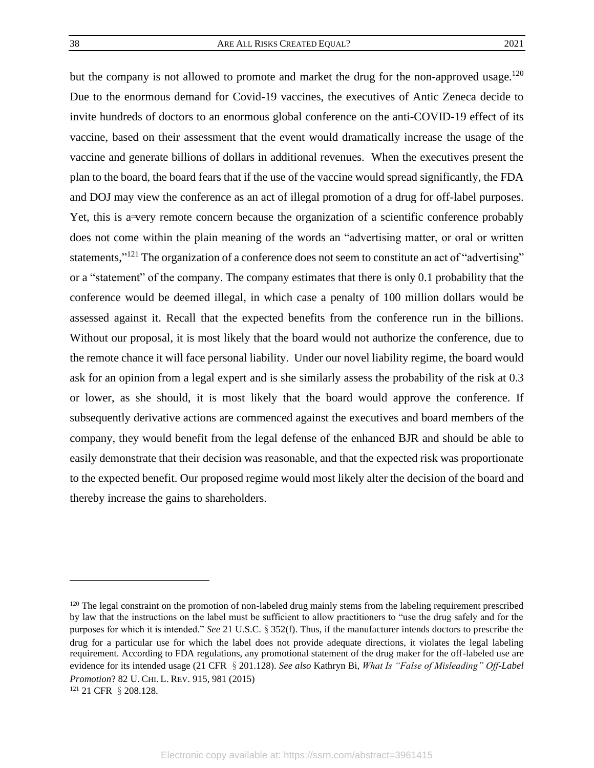but the company is not allowed to promote and market the drug for the non-approved usage.<sup>120</sup> Due to the enormous demand for Covid-19 vaccines, the executives of Antic Zeneca decide to invite hundreds of doctors to an enormous global conference on the anti-COVID-19 effect of its vaccine, based on their assessment that the event would dramatically increase the usage of the vaccine and generate billions of dollars in additional revenues. When the executives present the plan to the board, the board fears that if the use of the vaccine would spread significantly, the FDA and DOJ may view the conference as an act of illegal promotion of a drug for off-label purposes. Yet, this is a very remote concern because the organization of a scientific conference probably does not come within the plain meaning of the words an "advertising matter, or oral or written statements,"<sup>121</sup> The organization of a conference does not seem to constitute an act of "advertising" or a "statement" of the company. The company estimates that there is only 0.1 probability that the conference would be deemed illegal, in which case a penalty of 100 million dollars would be assessed against it. Recall that the expected benefits from the conference run in the billions. Without our proposal, it is most likely that the board would not authorize the conference, due to the remote chance it will face personal liability. Under our novel liability regime, the board would ask for an opinion from a legal expert and is she similarly assess the probability of the risk at 0.3 or lower, as she should, it is most likely that the board would approve the conference. If subsequently derivative actions are commenced against the executives and board members of the company, they would benefit from the legal defense of the enhanced BJR and should be able to easily demonstrate that their decision was reasonable, and that the expected risk was proportionate to the expected benefit. Our proposed regime would most likely alter the decision of the board and thereby increase the gains to shareholders.

<sup>&</sup>lt;sup>120</sup> The legal constraint on the promotion of non-labeled drug mainly stems from the labeling requirement prescribed by law that the instructions on the label must be sufficient to allow practitioners to "use the drug safely and for the purposes for which it is intended." *See* 21 U.S.C.§352(f). Thus, if the manufacturer intends doctors to prescribe the drug for a particular use for which the label does not provide adequate directions, it violates the legal labeling requirement. According to FDA regulations, any promotional statement of the drug maker for the off-labeled use are evidence for its intended usage (21 CFR §201.128). *See also* Kathryn Bi, *What Is "False of Misleading" Off-Label Promotion*? 82 U. CHI. L. REV. 915, 981 (2015)

<sup>121</sup> 21 CFR §208.128.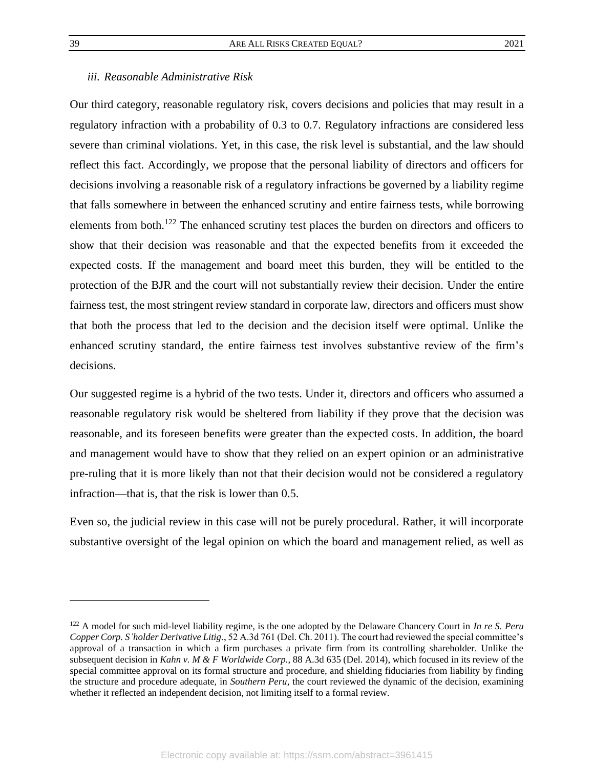# <span id="page-39-0"></span>*iii. Reasonable Administrative Risk*

Our third category, reasonable regulatory risk, covers decisions and policies that may result in a regulatory infraction with a probability of 0.3 to 0.7. Regulatory infractions are considered less severe than criminal violations. Yet, in this case, the risk level is substantial, and the law should reflect this fact. Accordingly, we propose that the personal liability of directors and officers for decisions involving a reasonable risk of a regulatory infractions be governed by a liability regime that falls somewhere in between the enhanced scrutiny and entire fairness tests, while borrowing elements from both.<sup>122</sup> The enhanced scrutiny test places the burden on directors and officers to show that their decision was reasonable and that the expected benefits from it exceeded the expected costs. If the management and board meet this burden, they will be entitled to the protection of the BJR and the court will not substantially review their decision. Under the entire fairness test, the most stringent review standard in corporate law, directors and officers must show that both the process that led to the decision and the decision itself were optimal. Unlike the enhanced scrutiny standard, the entire fairness test involves substantive review of the firm's decisions.

Our suggested regime is a hybrid of the two tests. Under it, directors and officers who assumed a reasonable regulatory risk would be sheltered from liability if they prove that the decision was reasonable, and its foreseen benefits were greater than the expected costs. In addition, the board and management would have to show that they relied on an expert opinion or an administrative pre-ruling that it is more likely than not that their decision would not be considered a regulatory infraction—that is, that the risk is lower than 0.5.

Even so, the judicial review in this case will not be purely procedural. Rather, it will incorporate substantive oversight of the legal opinion on which the board and management relied, as well as

<sup>122</sup> A model for such mid-level liability regime, is the one adopted by the Delaware Chancery Court in *In re S. Peru Copper Corp. S'holder Derivative Litig.*, 52 A.3d 761 (Del. Ch. 2011). The court had reviewed the special committee's approval of a transaction in which a firm purchases a private firm from its controlling shareholder. Unlike the subsequent decision in *Kahn v. M & F Worldwide Corp.,* 88 A.3d 635 (Del. 2014), which focused in its review of the special committee approval on its formal structure and procedure, and shielding fiduciaries from liability by finding the structure and procedure adequate, in *Southern Peru*, the court reviewed the dynamic of the decision, examining whether it reflected an independent decision, not limiting itself to a formal review.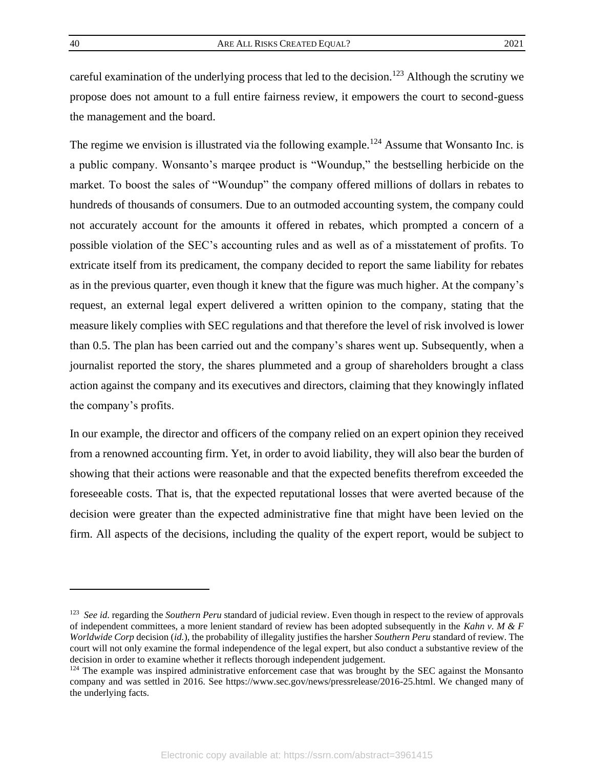careful examination of the underlying process that led to the decision.<sup>123</sup> Although the scrutiny we propose does not amount to a full entire fairness review, it empowers the court to second-guess the management and the board.

The regime we envision is illustrated via the following example.<sup>124</sup> Assume that Wonsanto Inc. is a public company. Wonsanto's marqee product is "Woundup," the bestselling herbicide on the market. To boost the sales of "Woundup" the company offered millions of dollars in rebates to hundreds of thousands of consumers. Due to an outmoded accounting system, the company could not accurately account for the amounts it offered in rebates, which prompted a concern of a possible violation of the SEC's accounting rules and as well as of a misstatement of profits. To extricate itself from its predicament, the company decided to report the same liability for rebates as in the previous quarter, even though it knew that the figure was much higher. At the company's request, an external legal expert delivered a written opinion to the company, stating that the measure likely complies with SEC regulations and that therefore the level of risk involved is lower than 0.5. The plan has been carried out and the company's shares went up. Subsequently, when a journalist reported the story, the shares plummeted and a group of shareholders brought a class action against the company and its executives and directors, claiming that they knowingly inflated the company's profits.

In our example, the director and officers of the company relied on an expert opinion they received from a renowned accounting firm. Yet, in order to avoid liability, they will also bear the burden of showing that their actions were reasonable and that the expected benefits therefrom exceeded the foreseeable costs. That is, that the expected reputational losses that were averted because of the decision were greater than the expected administrative fine that might have been levied on the firm. All aspects of the decisions, including the quality of the expert report, would be subject to

<sup>&</sup>lt;sup>123</sup> See id. regarding the *Southern Peru* standard of judicial review. Even though in respect to the review of approvals of independent committees, a more lenient standard of review has been adopted subsequently in the *Kahn v. M & F Worldwide Corp* decision (*id.*), the probability of illegality justifies the harsher *Southern Peru* standard of review. The court will not only examine the formal independence of the legal expert, but also conduct a substantive review of the decision in order to examine whether it reflects thorough independent judgement.

<sup>&</sup>lt;sup>124</sup> The example was inspired administrative enforcement case that was brought by the SEC against the Monsanto company and was settled in 2016. See https://www.sec.gov/news/pressrelease/2016-25.html. We changed many of the underlying facts.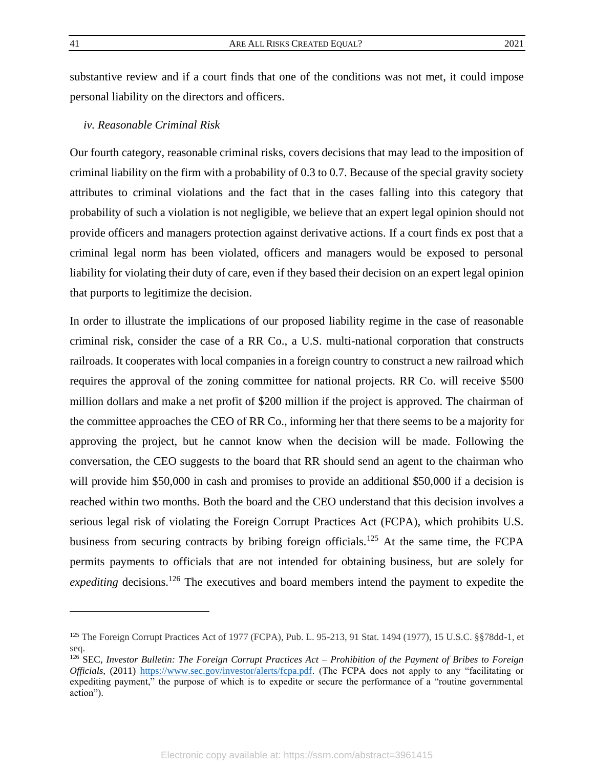substantive review and if a court finds that one of the conditions was not met, it could impose personal liability on the directors and officers.

#### <span id="page-41-0"></span>*iv. Reasonable Criminal Risk*

Our fourth category, reasonable criminal risks, covers decisions that may lead to the imposition of criminal liability on the firm with a probability of 0.3 to 0.7. Because of the special gravity society attributes to criminal violations and the fact that in the cases falling into this category that probability of such a violation is not negligible, we believe that an expert legal opinion should not provide officers and managers protection against derivative actions. If a court finds ex post that a criminal legal norm has been violated, officers and managers would be exposed to personal liability for violating their duty of care, even if they based their decision on an expert legal opinion that purports to legitimize the decision.

In order to illustrate the implications of our proposed liability regime in the case of reasonable criminal risk, consider the case of a RR Co., a U.S. multi-national corporation that constructs railroads. It cooperates with local companies in a foreign country to construct a new railroad which requires the approval of the zoning committee for national projects. RR Co. will receive \$500 million dollars and make a net profit of \$200 million if the project is approved. The chairman of the committee approaches the CEO of RR Co., informing her that there seems to be a majority for approving the project, but he cannot know when the decision will be made. Following the conversation, the CEO suggests to the board that RR should send an agent to the chairman who will provide him \$50,000 in cash and promises to provide an additional \$50,000 if a decision is reached within two months. Both the board and the CEO understand that this decision involves a serious legal risk of violating the Foreign Corrupt Practices Act (FCPA), which prohibits U.S. business from securing contracts by bribing foreign officials.<sup>125</sup> At the same time, the FCPA permits payments to officials that are not intended for obtaining business, but are solely for *expediting* decisions.<sup>126</sup> The executives and board members intend the payment to expedite the

<sup>125</sup> The Foreign Corrupt Practices Act of 1977 (FCPA), Pub. L. 95-213, 91 Stat. 1494 (1977), 15 U.S.C. §§78dd-1, et seq.

<sup>126</sup> SEC, *Investor Bulletin: The Foreign Corrupt Practices Act – Prohibition of the Payment of Bribes to Foreign Officials,* (2011) [https://www.sec.gov/investor/alerts/fcpa.pdf.](https://www.sec.gov/investor/alerts/fcpa.pdf) (The FCPA does not apply to any "facilitating or expediting payment," the purpose of which is to expedite or secure the performance of a "routine governmental action").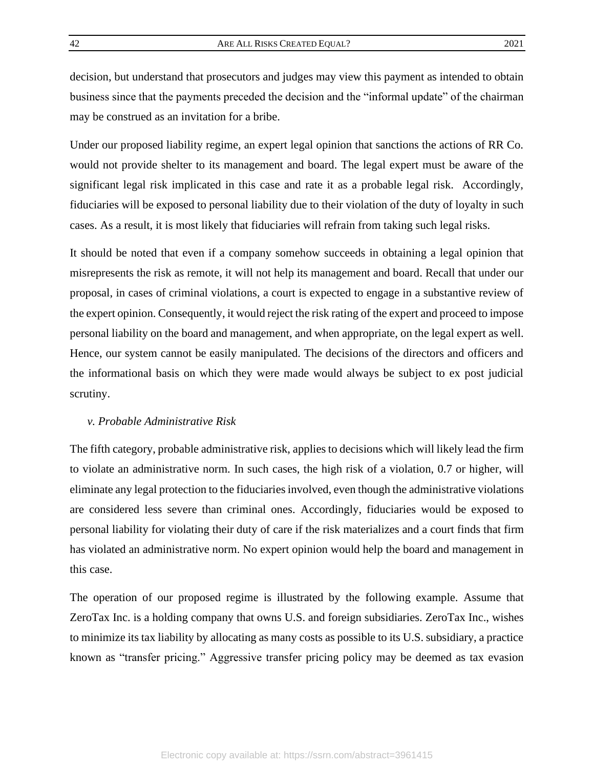decision, but understand that prosecutors and judges may view this payment as intended to obtain business since that the payments preceded the decision and the "informal update" of the chairman may be construed as an invitation for a bribe.

Under our proposed liability regime, an expert legal opinion that sanctions the actions of RR Co. would not provide shelter to its management and board. The legal expert must be aware of the significant legal risk implicated in this case and rate it as a probable legal risk. Accordingly, fiduciaries will be exposed to personal liability due to their violation of the duty of loyalty in such cases. As a result, it is most likely that fiduciaries will refrain from taking such legal risks.

It should be noted that even if a company somehow succeeds in obtaining a legal opinion that misrepresents the risk as remote, it will not help its management and board. Recall that under our proposal, in cases of criminal violations, a court is expected to engage in a substantive review of the expert opinion. Consequently, it would reject the risk rating of the expert and proceed to impose personal liability on the board and management, and when appropriate, on the legal expert as well. Hence, our system cannot be easily manipulated. The decisions of the directors and officers and the informational basis on which they were made would always be subject to ex post judicial scrutiny.

## <span id="page-42-0"></span>*v. Probable Administrative Risk*

The fifth category, probable administrative risk, applies to decisions which will likely lead the firm to violate an administrative norm. In such cases, the high risk of a violation, 0.7 or higher, will eliminate any legal protection to the fiduciaries involved, even though the administrative violations are considered less severe than criminal ones. Accordingly, fiduciaries would be exposed to personal liability for violating their duty of care if the risk materializes and a court finds that firm has violated an administrative norm. No expert opinion would help the board and management in this case.

The operation of our proposed regime is illustrated by the following example. Assume that ZeroTax Inc. is a holding company that owns U.S. and foreign subsidiaries. ZeroTax Inc., wishes to minimize its tax liability by allocating as many costs as possible to its U.S. subsidiary, a practice known as "transfer pricing." Aggressive transfer pricing policy may be deemed as tax evasion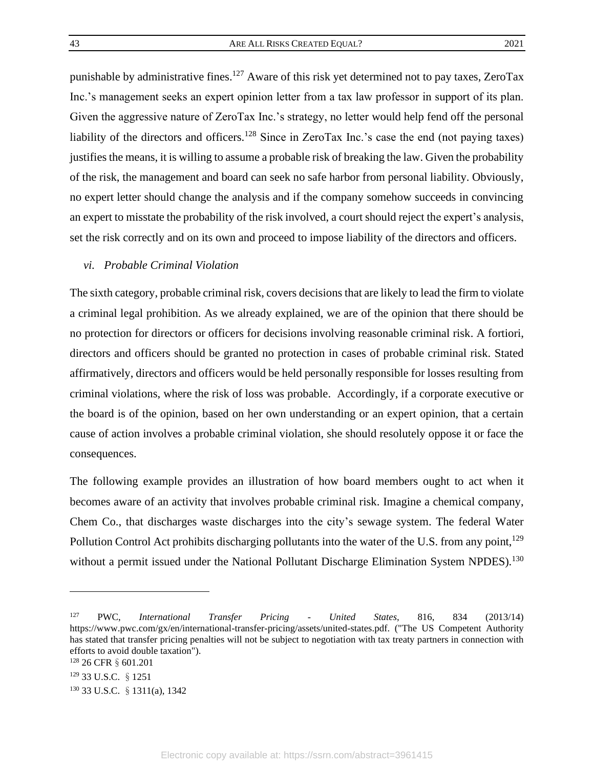punishable by administrative fines.<sup>127</sup> Aware of this risk yet determined not to pay taxes, ZeroTax Inc.'s management seeks an expert opinion letter from a tax law professor in support of its plan. Given the aggressive nature of ZeroTax Inc.'s strategy, no letter would help fend off the personal liability of the directors and officers.<sup>128</sup> Since in ZeroTax Inc.'s case the end (not paying taxes) justifies the means, it is willing to assume a probable risk of breaking the law. Given the probability of the risk, the management and board can seek no safe harbor from personal liability. Obviously, no expert letter should change the analysis and if the company somehow succeeds in convincing an expert to misstate the probability of the risk involved, a court should reject the expert's analysis, set the risk correctly and on its own and proceed to impose liability of the directors and officers.

## <span id="page-43-0"></span>*vi. Probable Criminal Violation*

The sixth category, probable criminal risk, covers decisions that are likely to lead the firm to violate a criminal legal prohibition. As we already explained, we are of the opinion that there should be no protection for directors or officers for decisions involving reasonable criminal risk. A fortiori, directors and officers should be granted no protection in cases of probable criminal risk. Stated affirmatively, directors and officers would be held personally responsible for losses resulting from criminal violations, where the risk of loss was probable. Accordingly, if a corporate executive or the board is of the opinion, based on her own understanding or an expert opinion, that a certain cause of action involves a probable criminal violation, she should resolutely oppose it or face the consequences.

The following example provides an illustration of how board members ought to act when it becomes aware of an activity that involves probable criminal risk. Imagine a chemical company, Chem Co., that discharges waste discharges into the city's sewage system. The federal Water Pollution Control Act prohibits discharging pollutants into the water of the U.S. from any point,<sup>129</sup> without a permit issued under the National Pollutant Discharge Elimination System NPDES).<sup>130</sup>

<sup>127</sup> PWC, *International Transfer Pricing - United States*, 816, 834 (2013/14) https://www.pwc.com/gx/en/international-transfer-pricing/assets/united-states.pdf. ("The US Competent Authority has stated that transfer pricing penalties will not be subject to negotiation with tax treaty partners in connection with efforts to avoid double taxation").

<sup>128 26</sup> CFR § 601.201

<sup>129</sup> 33 U.S.C. §1251

<sup>130</sup> 33 U.S.C. §1311(a), 1342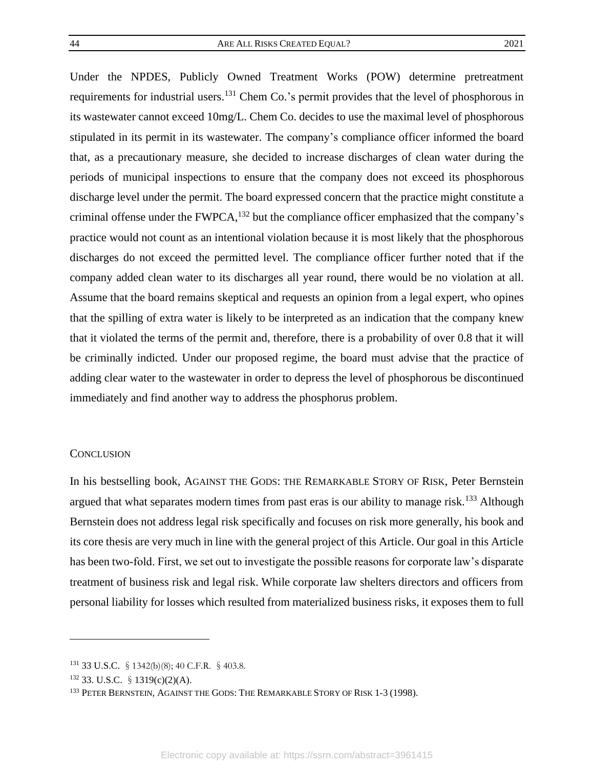Under the NPDES, Publicly Owned Treatment Works (POW) determine pretreatment requirements for industrial users.<sup>131</sup> Chem Co.'s permit provides that the level of phosphorous in its wastewater cannot exceed 10mg/L. Chem Co. decides to use the maximal level of phosphorous stipulated in its permit in its wastewater. The company's compliance officer informed the board that, as a precautionary measure, she decided to increase discharges of clean water during the periods of municipal inspections to ensure that the company does not exceed its phosphorous discharge level under the permit. The board expressed concern that the practice might constitute a criminal offense under the  $FWPCA<sub>132</sub>$  but the compliance officer emphasized that the company's practice would not count as an intentional violation because it is most likely that the phosphorous discharges do not exceed the permitted level. The compliance officer further noted that if the company added clean water to its discharges all year round, there would be no violation at all. Assume that the board remains skeptical and requests an opinion from a legal expert, who opines that the spilling of extra water is likely to be interpreted as an indication that the company knew that it violated the terms of the permit and, therefore, there is a probability of over 0.8 that it will be criminally indicted. Under our proposed regime, the board must advise that the practice of adding clear water to the wastewater in order to depress the level of phosphorous be discontinued immediately and find another way to address the phosphorus problem.

#### <span id="page-44-0"></span>**CONCLUSION**

In his bestselling book, AGAINST THE GODS: THE REMARKABLE STORY OF RISK, Peter Bernstein argued that what separates modern times from past eras is our ability to manage risk.<sup>133</sup> Although Bernstein does not address legal risk specifically and focuses on risk more generally, his book and its core thesis are very much in line with the general project of this Article. Our goal in this Article has been two-fold. First, we set out to investigate the possible reasons for corporate law's disparate treatment of business risk and legal risk. While corporate law shelters directors and officers from personal liability for losses which resulted from materialized business risks, it exposes them to full

<sup>131 33</sup> U.S.C. § 1342(b)(8); 40 C.F.R. § 403.8.

 $132$  33. U.S.C. § 1319(c)(2)(A).

<sup>&</sup>lt;sup>133</sup> PETER BERNSTEIN, AGAINST THE GODS: THE REMARKABLE STORY OF RISK 1-3 (1998).